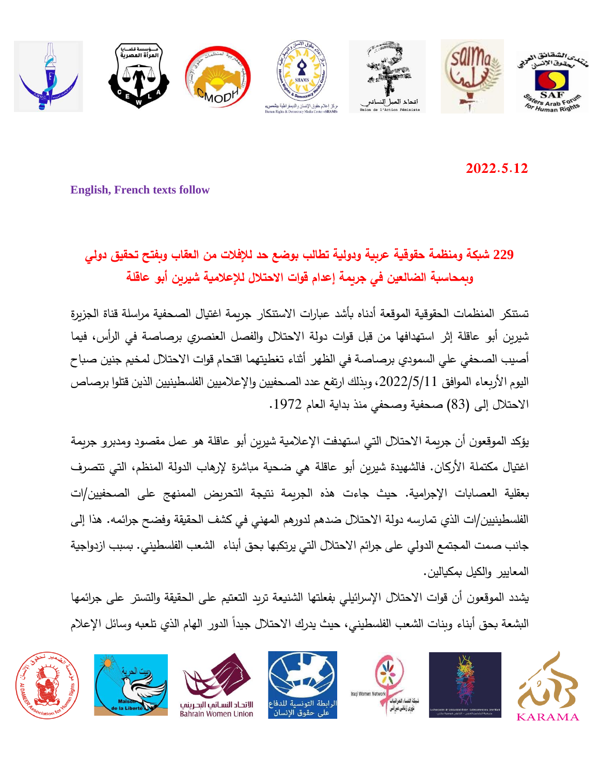

**2022.5.12**

**English, French texts follow**

## **229 شبكة ومنظمة حقوقية عربية ودولية تطالب بوضع حد لإلفالت من العقاب و بفتح تحقيق دولي وبمحاسبة الضالعين في جريمة إعدام قوات االحتالل لإلعالمية شيرين أبو عاقلة**

تستنكر المنظمات الحقوقية الموقعة أدناه بأشد عبارات االستنكار جريمة اغتيال الصحفية مراسلة قناة الجزيرة شيرين أبو عاقلة إثر استهدافها من قبل قوات دولة االحتالل والفصل العنصري برصاصة في الرأس، فيما أصيب الصحفي علي السمودي برصاصة في الظهر أثناء تغطيتهما اقتحام قوات االحتالل لمخيم جنين صباح اليوم الأربعاء الموافق 2022/5/11، وبذلك ارتفع عدد الصحفيين والإعلاميين الفلسطينيين الذين قتلوا برصاص االحتالل إلى )83( صحفية وصحفي منذ بداية العام .1972

يؤكد الموقعون أن جريمة االحتالل التي استهدفت اإلعالمية شيرين أبو عاقلة هو عمل مقصود ومدبرو جريمة اغتيال مكتملة الأركان. فالشهيدة شيربن أبو عاقلة هي ضحية مباشرة لإرهاب الدولة المنظم، التي تتصرف بعقلية العصابات اإلجرامية. حيث جاءت هذه الجريمة نتيجة التحريض الممنهج على الصحفيين/ات الفلسطينيين/ات الذي تمارسه دولة االحتالل ضدهم لدورهم المهني في كشف الحقيقة وفضح جرائمه. هذا إلى جانب صمت المجتمع الدولي على جرائم االحتالل التي يرتكبها بحق أبناء الشعب الفلسطيني. بسبب ازدواجية المعايير والكيل بمكيالين.

يشدد الموقعون أن قوات الاحتلال الإسرائيلي بفعلتها الشنيعة تربد التعتيم على الحقيقة والتستر على جرائمها البشعة بحق أبناء وبنات الشعب الفلسطيني، حيث يدرك الاحتلال جيدا الدور الهام الذي تلعبه وسائل الإعلام











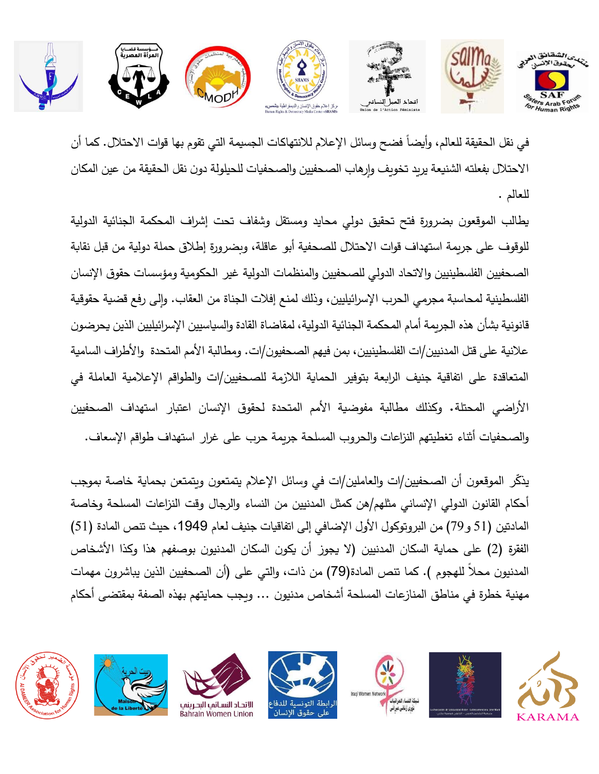

في نقل الحقيقة للعالم، وأيضاً فضح وسائل الإعلام للانتهاكات الجسيمة التي تقوم بها قوات الاحتلال. كما أن االحتالل بفعلته الشنيعة يريد تخويف وإرهاب الصحفيين والصحفيات للحيلولة دون نقل الحقيقة من عين المكان للعالم .

يطالب الموقعون بضرورة فتح تحقيق دولي محايد ومستقل وشفاف تحت إش ارف المحكمة الجنائية الدولية للوقوف على جريمة استهداف قوات االحتالل للصحفية أبو عاقلة، وبضرورة إطالق حملة دولية من قبل نقابة الصحفيين الفلسطينيين والاتحاد الدولي للصحفيين والمنظمات الدولية غير الحكومية ومؤسسات حقوق الإنسان الفلسطينية لمحاسبة مجرمي الحرب اإلسرائيليين، وذلك لمنع إفالت الجناة من العقاب. وإلى رفع قضية حقوقية قانونية بشأن هذه الجريمة أمام المحكمة الجنائية الدولية، لمقاضاة القادة والسياسيين اإلس ارئيليين الذين يحرضون علانية على قتل المدنيين/ات الفلسطينيين، بمن فيهم الصحفيون/ات. ومطالبة الأمم المتحدة والأطراف السامية المتعاقدة على اتفاقية جنيف الرابعة بتوفير الحماية الالزمة للصحفيين/ات والطواقم اإلعالمية العاملة في األراضي المحتلة . وكذلك مطالبة مفوضية األمم المتحدة لحقوق اإلنسان اعتبار استهداف الصحفيين والصحفيات أثناء تغطيتهم النزاعات والحروب المسلحة جريمة حرب على غرار استهداف طواقم اإلسعاف.

يذكّر الموقعون أن الصحفيين/ات والعاملين/ات في وسائل الإعلام يتمتعون ويتمتعن بحماية خاصة بموجب أحكام القانون الدولي اإلنساني مثلهم/ هن كمثل المدنيين من النساء والرجال وقت النزاعات المسلحة وخاصة المادتين (51 و 79) من البروتوكول الأول الإضافي إلى اتفاقيات جنيف لعام 1949، حيث تنص المادة (51) الفقرة (2) على حماية السكان المدنيين (لا يجوز أن يكون السكان المدنيون بوصفهم هذا وكذا الأشخاص المدنيون محلاً للهجوم ). كما تنص المادة(79) من ذات، والتي على (أن الصحفيين الذين يباشرون مهمات مهنية خطرة في مناطق المنازعات المسلحة أشخاص مدنيون ... ويجب حمايتهم بهذه الصفة بمقتضى أحكام













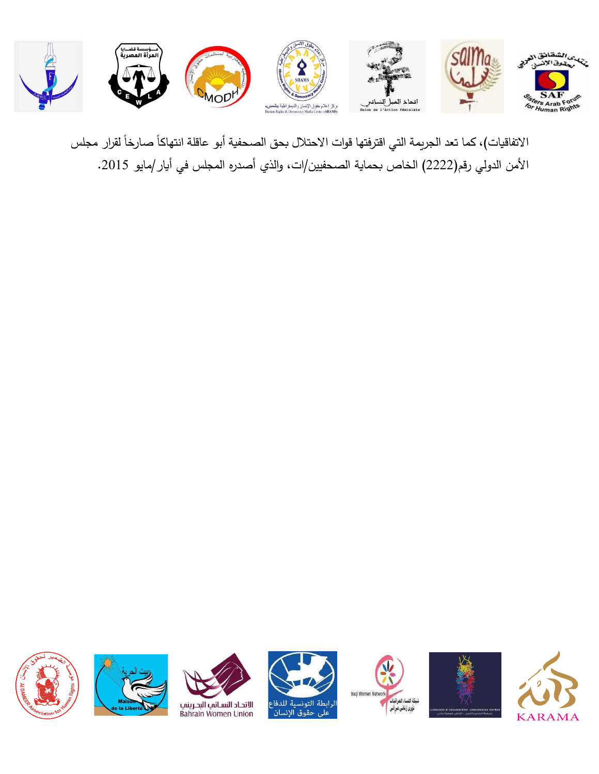

الاتفاقيات)، كما تعد الجريمة التي اقترفتها قوات الاحتلال بحق الصحفية أبو عاقلة انتهاكاً صارخاً لقرار مجلس األمن الدولي رقم)2222( الخاص بحماية الصحفيين/ات ، والذي أصدره المجلس في أيار/مايو .2015













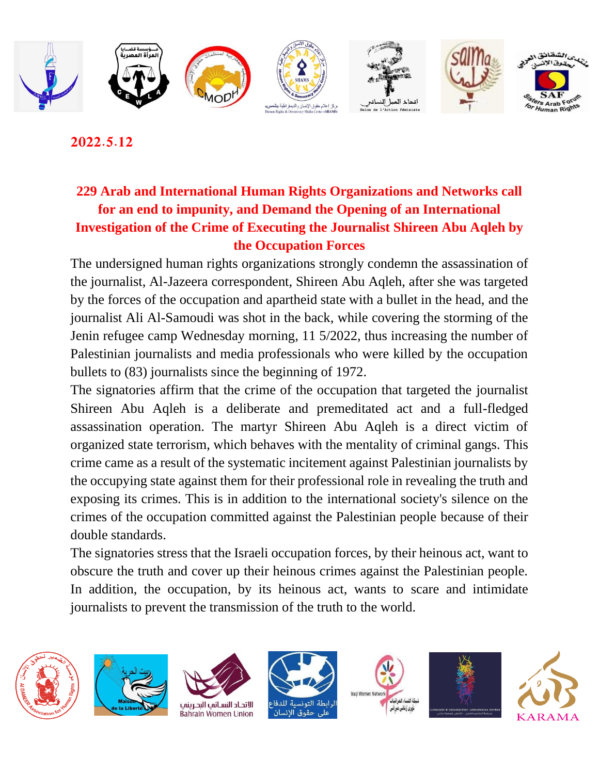

**2022.5.12**

## **229 Arab and International Human Rights Organizations and Networks call for an end to impunity, and Demand the Opening of an International Investigation of the Crime of Executing the Journalist Shireen Abu Aqleh by the Occupation Forces**

The undersigned human rights organizations strongly condemn the assassination of the journalist, Al-Jazeera correspondent, Shireen Abu Aqleh, after she was targeted by the forces of the occupation and apartheid state with a bullet in the head, and the journalist Ali Al-Samoudi was shot in the back, while covering the storming of the Jenin refugee camp Wednesday morning, 11 5/2022, thus increasing the number of Palestinian journalists and media professionals who were killed by the occupation bullets to (83) journalists since the beginning of 1972.

The signatories affirm that the crime of the occupation that targeted the journalist Shireen Abu Aqleh is a deliberate and premeditated act and a full-fledged assassination operation. The martyr Shireen Abu Aqleh is a direct victim of organized state terrorism, which behaves with the mentality of criminal gangs. This crime came as a result of the systematic incitement against Palestinian journalists by the occupying state against them for their professional role in revealing the truth and exposing its crimes. This is in addition to the international society's silence on the crimes of the occupation committed against the Palestinian people because of their double standards.

The signatories stress that the Israeli occupation forces, by their heinous act, want to obscure the truth and cover up their heinous crimes against the Palestinian people. In addition, the occupation, by its heinous act, wants to scare and intimidate journalists to prevent the transmission of the truth to the world.











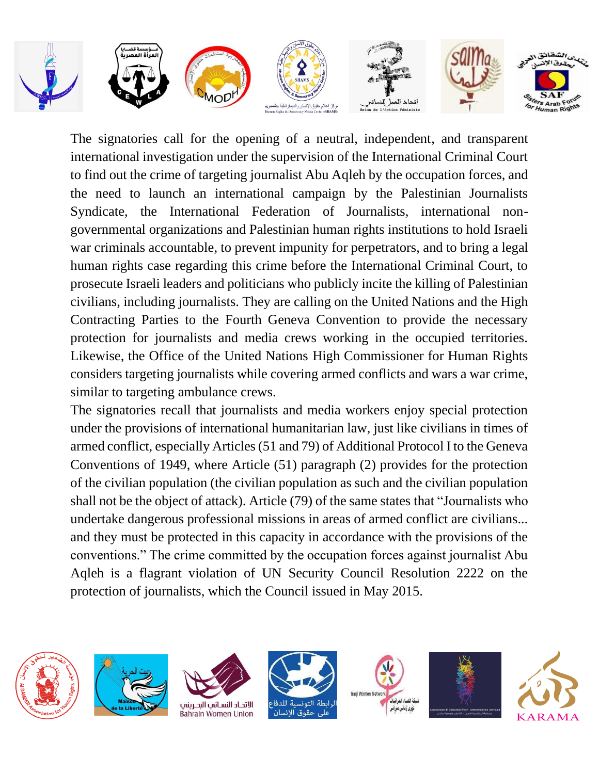

The signatories call for the opening of a neutral, independent, and transparent international investigation under the supervision of the International Criminal Court to find out the crime of targeting journalist Abu Aqleh by the occupation forces, and the need to launch an international campaign by the Palestinian Journalists Syndicate, the International Federation of Journalists, international nongovernmental organizations and Palestinian human rights institutions to hold Israeli war criminals accountable, to prevent impunity for perpetrators, and to bring a legal human rights case regarding this crime before the International Criminal Court, to prosecute Israeli leaders and politicians who publicly incite the killing of Palestinian civilians, including journalists. They are calling on the United Nations and the High Contracting Parties to the Fourth Geneva Convention to provide the necessary protection for journalists and media crews working in the occupied territories. Likewise, the Office of the United Nations High Commissioner for Human Rights considers targeting journalists while covering armed conflicts and wars a war crime, similar to targeting ambulance crews.

The signatories recall that journalists and media workers enjoy special protection under the provisions of international humanitarian law, just like civilians in times of armed conflict, especially Articles (51 and 79) of Additional Protocol I to the Geneva Conventions of 1949, where Article (51) paragraph (2) provides for the protection of the civilian population (the civilian population as such and the civilian population shall not be the object of attack). Article (79) of the same states that "Journalists who undertake dangerous professional missions in areas of armed conflict are civilians... and they must be protected in this capacity in accordance with the provisions of the conventions." The crime committed by the occupation forces against journalist Abu Aqleh is a flagrant violation of UN Security Council Resolution 2222 on the protection of journalists, which the Council issued in May 2015.













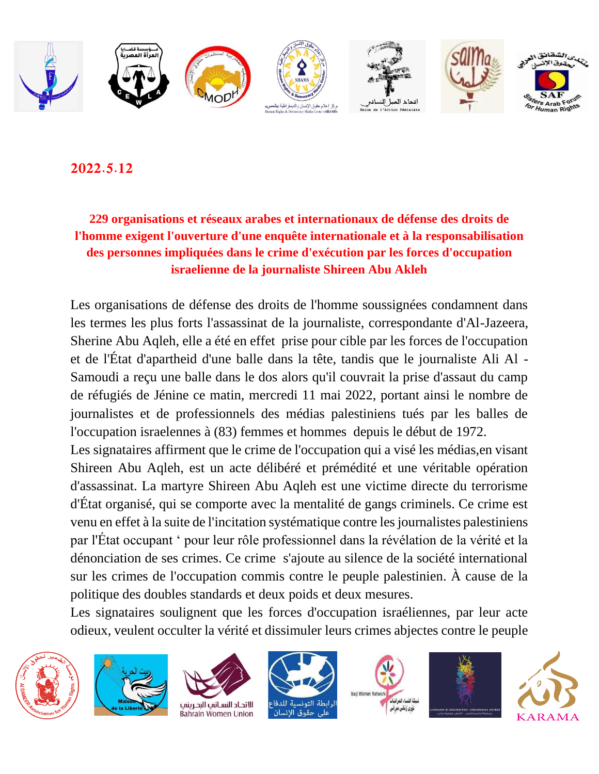

**2022.5.12**

## **229 organisations et réseaux arabes et internationaux de défense des droits de l'homme exigent l'ouverture d'une enquête internationale et à la responsabilisation des personnes impliquées dans le crime d'exécution par les forces d'occupation israelienne de la journaliste Shireen Abu Akleh**

Les organisations de défense des droits de l'homme soussignées condamnent dans les termes les plus forts l'assassinat de la journaliste, correspondante d'Al-Jazeera, Sherine Abu Aqleh, elle a été en effet prise pour cible par les forces de l'occupation et de l'État d'apartheid d'une balle dans la tête, tandis que le journaliste Ali Al - Samoudi a reçu une balle dans le dos alors qu'il couvrait la prise d'assaut du camp de réfugiés de Jénine ce matin, mercredi 11 mai 2022, portant ainsi le nombre de journalistes et de professionnels des médias palestiniens tués par les balles de l'occupation israelennes à (83) femmes et hommes depuis le début de 1972.

Les signataires affirment que le crime de l'occupation qui a visé les médias, en visant Shireen Abu Aqleh, est un acte délibéré et prémédité et une véritable opération d'assassinat. La martyre Shireen Abu Aqleh est une victime directe du terrorisme d'État organisé, qui se comporte avec la mentalité de gangs criminels. Ce crime est venu en effet à la suite de l'incitation systématique contre les journalistes palestiniens par l'État occupant ' pour leur rôle professionnel dans la révélation de la vérité et la dénonciation de ses crimes. Ce crime s'ajoute au silence de la société international sur les crimes de l'occupation commis contre le peuple palestinien. À cause de la politique des doubles standards et deux poids et deux mesures.

Les signataires soulignent que les forces d'occupation israéliennes, par leur acte odieux, veulent occulter la vérité et dissimuler leurs crimes abjectes contre le peuple













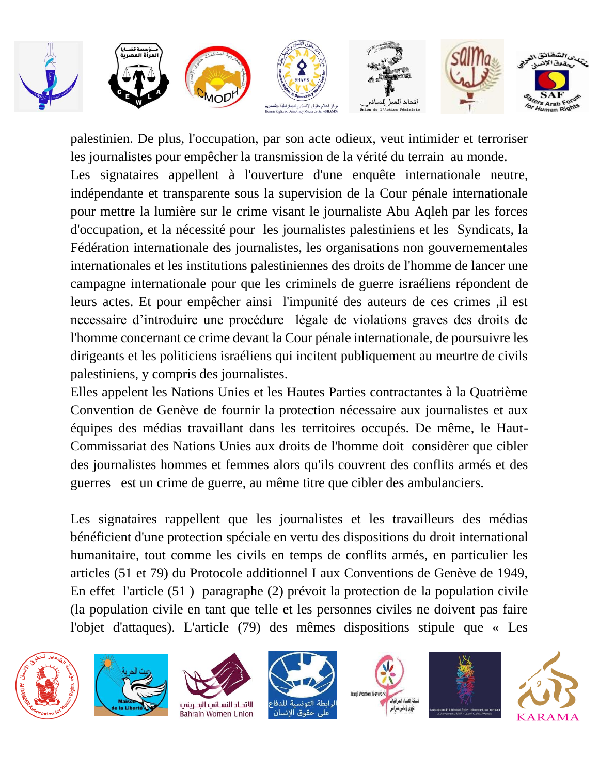

palestinien. De plus, l'occupation, par son acte odieux, veut intimider et terroriser les journalistes pour empêcher la transmission de la vérité du terrain au monde. Les signataires appellent à l'ouverture d'une enquête internationale neutre, indépendante et transparente sous la supervision de la Cour pénale internationale pour mettre la lumière sur le crime visant le journaliste Abu Aqleh par les forces d'occupation, et la nécessité pour les journalistes palestiniens et les Syndicats, la Fédération internationale des journalistes, les organisations non gouvernementales internationales et les institutions palestiniennes des droits de l'homme de lancer une campagne internationale pour que les criminels de guerre israéliens répondent de leurs actes. Et pour empêcher ainsi l'impunité des auteurs de ces crimes ,il est necessaire d'introduire une procédure légale de violations graves des droits de l'homme concernant ce crime devant la Cour pénale internationale, de poursuivre les dirigeants et les politiciens israéliens qui incitent publiquement au meurtre de civils palestiniens, y compris des journalistes.

Elles appelent les Nations Unies et les Hautes Parties contractantes à la Quatrième Convention de Genève de fournir la protection nécessaire aux journalistes et aux équipes des médias travaillant dans les territoires occupés. De même, le Haut-Commissariat des Nations Unies aux droits de l'homme doit considèrer que cibler des journalistes hommes et femmes alors qu'ils couvrent des conflits armés et des guerres est un crime de guerre, au même titre que cibler des ambulanciers.

Les signataires rappellent que les journalistes et les travailleurs des médias bénéficient d'une protection spéciale en vertu des dispositions du droit international humanitaire, tout comme les civils en temps de conflits armés, en particulier les articles (51 et 79) du Protocole additionnel I aux Conventions de Genève de 1949, En effet l'article (51 ) paragraphe (2) prévoit la protection de la population civile (la population civile en tant que telle et les personnes civiles ne doivent pas faire l'objet d'attaques). L'article (79) des mêmes dispositions stipule que « Les













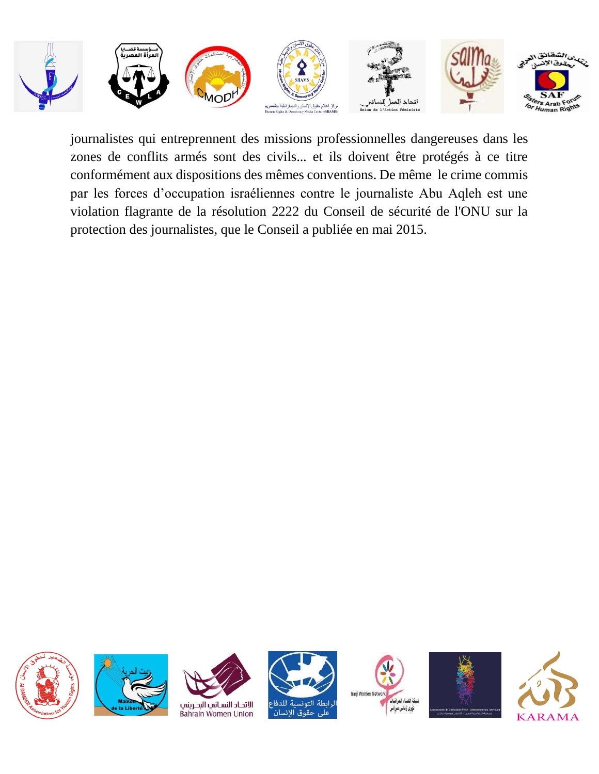

journalistes qui entreprennent des missions professionnelles dangereuses dans les zones de conflits armés sont des civils... et ils doivent être protégés à ce titre conformément aux dispositions des mêmes conventions. De même le crime commis par les forces d'occupation israéliennes contre le journaliste Abu Aqleh est une violation flagrante de la résolution 2222 du Conseil de sécurité de l'ONU sur la protection des journalistes, que le Conseil a publiée en mai 2015.













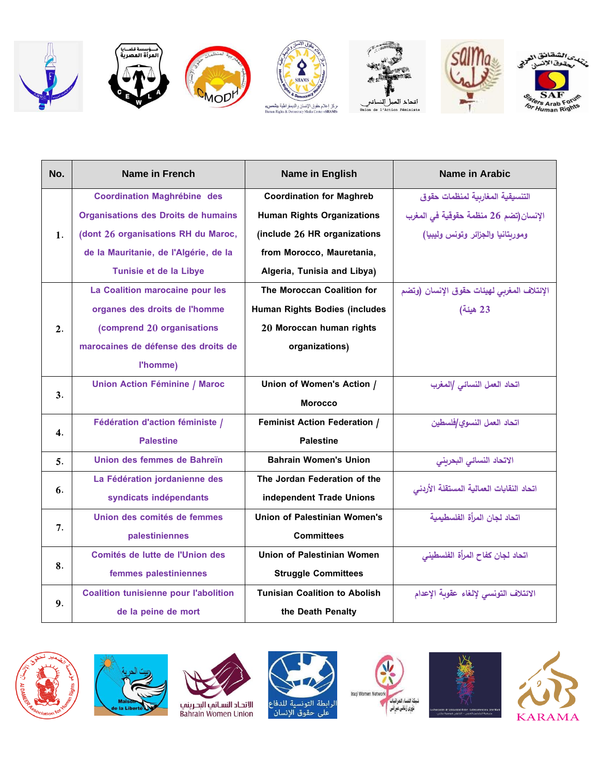













| No.            | <b>Name in French</b>                        | <b>Name in English</b>               | <b>Name in Arabic</b>                      |
|----------------|----------------------------------------------|--------------------------------------|--------------------------------------------|
|                | <b>Coordination Maghrébine des</b>           | <b>Coordination for Maghreb</b>      | التنسيقية المغاربية لمنظمات حقوق           |
|                | <b>Organisations des Droits de humains</b>   | <b>Human Rights Organizations</b>    | الإنسان(تضم 26 منظمة حقوقية في المغرب      |
| $\mathbf{1}$ . | (dont 26 organisations RH du Maroc,          | (include 26 HR organizations         | وموربتانيا والجزائر وتونس وليبيا)          |
|                | de la Mauritanie, de l'Algérie, de la        | from Morocco, Mauretania,            |                                            |
|                | Tunisie et de la Libye                       | Algeria, Tunisia and Libya)          |                                            |
|                | La Coalition marocaine pour les              | The Moroccan Coalition for           | الإئتلاف المغربي لهيئات حقوق الإنسان (وتضم |
|                | organes des droits de l'homme                | Human Rights Bodies (includes        | 23 هيئة)                                   |
| 2.             | (comprend 20 organisations                   | 20 Moroccan human rights             |                                            |
|                | marocaines de défense des droits de          | organizations)                       |                                            |
|                | l'homme)                                     |                                      |                                            |
|                | <b>Union Action Féminine / Maroc</b>         | Union of Women's Action /            | اتحاد العمل النسائي  المغرب                |
| 3.             |                                              | <b>Morocco</b>                       |                                            |
|                | Fédération d'action féministe /              | <b>Feminist Action Federation /</b>  | اتحاد العمل النسوى/فلسطين                  |
| 4.             | <b>Palestine</b>                             | <b>Palestine</b>                     |                                            |
| 5.             | Union des femmes de Bahreïn                  | <b>Bahrain Women's Union</b>         | الاتحاد النسائي البحريني                   |
|                | La Fédération jordanienne des                | The Jordan Federation of the         | اتحاد النقابات العمالية المستقلة الأردنى   |
| 6.             | syndicats indépendants                       | independent Trade Unions             |                                            |
|                | Union des comités de femmes                  | Union of Palestinian Women's         | اتحاد لجان المرأة الفلسطيمية               |
| 7.             | palestiniennes                               | <b>Committees</b>                    |                                            |
|                | Comités de lutte de l'Union des              | Union of Palestinian Women           | اتحاد لجان كفاح المرأة الفلسطيني           |
| 8.             | femmes palestiniennes                        | <b>Struggle Committees</b>           |                                            |
|                | <b>Coalition tunisienne pour l'abolition</b> | <b>Tunisian Coalition to Abolish</b> | الائتلاف التونسي لإلغاء عقوبة الإعدام      |
| 9.             | de la peine de mort                          | the Death Penalty                    |                                            |







الرابطة التونسية للدفاع<br>على حقوق الإنسان





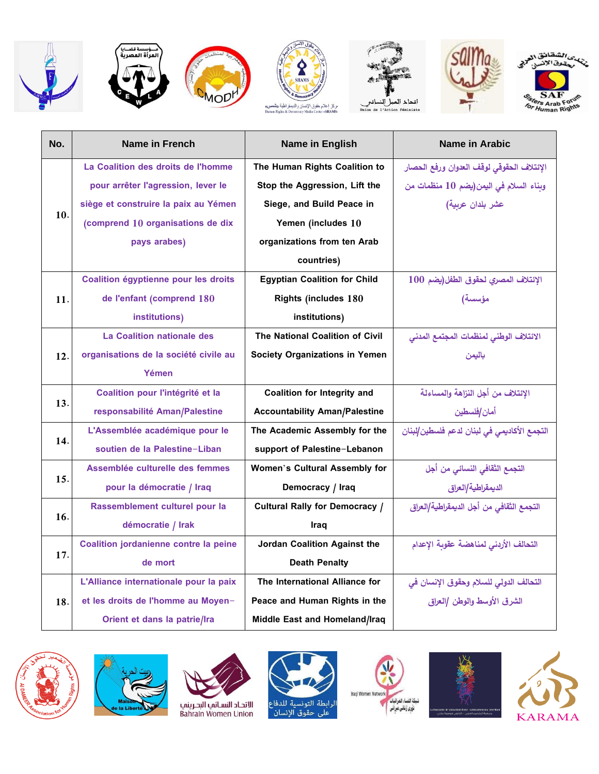













| No. | Name in French                         | Name in English                       | Name in Arabic                              |
|-----|----------------------------------------|---------------------------------------|---------------------------------------------|
|     | La Coalition des droits de l'homme     | The Human Rights Coalition to         | الإئتلاف الحقوقى لوقف العدوان ورفع الحصار   |
|     | pour arrêter l'agression, lever le     | Stop the Aggression, Lift the         | وبناء السلام في اليمن(يضم 10 منظمات من      |
|     | siège et construire la paix au Yémen   | Siege, and Build Peace in             | عشر بلدان عربية)                            |
| 10. | (comprend 10 organisations de dix      | Yemen (includes 10                    |                                             |
|     | pays arabes)                           | organizations from ten Arab           |                                             |
|     |                                        | countries)                            |                                             |
|     | Coalition égyptienne pour les droits   | <b>Egyptian Coalition for Child</b>   | الإئتلاف المصري لحقوق الطفل(يضم 100         |
| 11. | de l'enfant (comprend 180              | <b>Rights (includes 180</b>           | مؤسسة)                                      |
|     | institutions)                          | institutions)                         |                                             |
|     | La Coalition nationale des             | The National Coalition of Civil       | الائتلاف الوطني لمنظمات المجتمع المدني      |
| 12. | organisations de la société civile au  | <b>Society Organizations in Yemen</b> | باليمن                                      |
|     | Yémen                                  |                                       |                                             |
|     | Coalition pour l'intégrité et la       | <b>Coalition for Integrity and</b>    | الإئتلاف من أجل النزاهة والمساءلة           |
| 13. | responsabilité Aman/Palestine          | <b>Accountability Aman/Palestine</b>  | أمان ⁄فلسطين                                |
|     | L'Assemblée académique pour le         | The Academic Assembly for the         | التجمع الأكاديمى فى لبنان لدعم فلسطين/لبنان |
| 14. | soutien de la Palestine-Liban          | support of Palestine-Lebanon          |                                             |
|     | Assemblée culturelle des femmes        | <b>Women's Cultural Assembly for</b>  | التجمع الثقافي النسائي من أجل               |
| 15. | pour la démocratie / Iraq              | Democracy / Iraq                      | الديمقراطية/العراق                          |
|     | Rassemblement culturel pour la         | <b>Cultural Rally for Democracy /</b> | التجمع الثقافي من أجل الديمقراطية/العراق    |
| 16. | démocratie / Irak                      | Iraq                                  |                                             |
|     | Coalition jordanienne contre la peine  | Jordan Coalition Against the          | التحالف الأردني لمناهضة عقوبة الإعدام       |
| 17. | de mort                                | <b>Death Penalty</b>                  |                                             |
|     | L'Alliance internationale pour la paix | The International Alliance for        | التحالف الدولى للسلام وحقوق الإنسان في      |
| 18. | et les droits de l'homme au Moyen-     | Peace and Human Rights in the         | الشرق الأوسط والوطن  العراق                 |
|     | Orient et dans la patrie/Ira           | Middle East and Homeland/Iraq         |                                             |













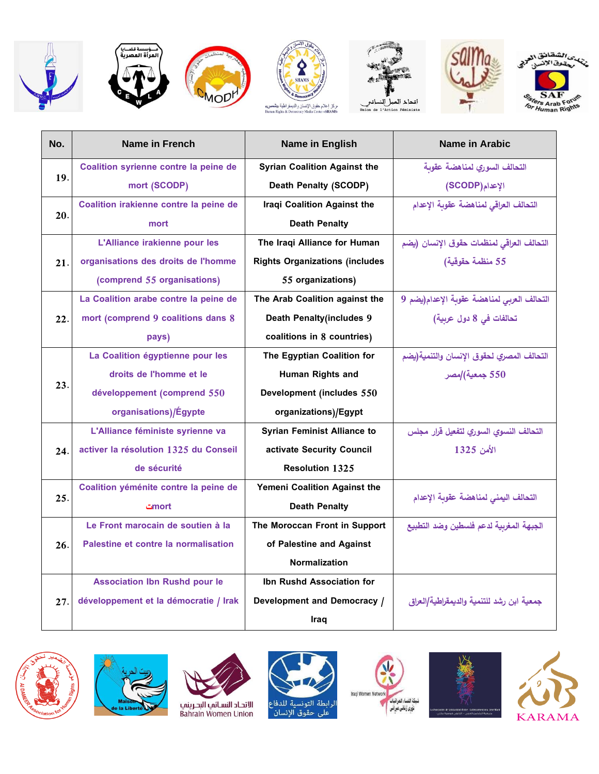













| No. | Name in French                         | <b>Name in English</b>                | <b>Name in Arabic</b>                      |
|-----|----------------------------------------|---------------------------------------|--------------------------------------------|
|     | Coalition syrienne contre la peine de  | <b>Syrian Coalition Against the</b>   | التحالف السوري لمناهضة عقوبة               |
| 19. | mort (SCODP)                           | <b>Death Penalty (SCODP)</b>          | الإعدام (SCODP)                            |
|     | Coalition irakienne contre la peine de | Iraqi Coalition Against the           | التحالف العراقي لمناهضة عقوبة الإعدام      |
| 20. | mort                                   | <b>Death Penalty</b>                  |                                            |
|     | L'Alliance irakienne pour les          | The Iraqi Alliance for Human          | التحالف العراقي لمنظمات حقوق الإنسان (يضم  |
| 21. | organisations des droits de l'homme    | <b>Rights Organizations (includes</b> | 55 منظمة حقوقية)                           |
|     | (comprend 55 organisations)            | 55 organizations)                     |                                            |
|     | La Coalition arabe contre la peine de  | The Arab Coalition against the        | التحالف العربي لمناهضة عقوبة الإعدام(يضم 9 |
| 22. | mort (comprend 9 coalitions dans 8     | <b>Death Penalty (includes 9</b>      | تحالفات في 8 دول عربية)                    |
|     | pays)                                  | coalitions in 8 countries)            |                                            |
|     | La Coalition égyptienne pour les       | The Egyptian Coalition for            | التحالف المصري لحقوق الإنسان والتنمية(يضم  |
|     | droits de l'homme et le                | Human Rights and                      | 550 جمعية) مصر                             |
| 23. | développement (comprend 550            | Development (includes 550             |                                            |
|     | organisations)/Égypte                  | organizations)/Egypt                  |                                            |
|     | L'Alliance féministe syrienne va       | <b>Syrian Feminist Alliance to</b>    | التحالف النسوي السوري لتفعيل قرار مجلس     |
| 24. | activer la résolution 1325 du Conseil  | activate Security Council             | الأمن 1325                                 |
|     | de sécurité                            | <b>Resolution 1325</b>                |                                            |
|     | Coalition yéménite contre la peine de  | Yemeni Coalition Against the          |                                            |
| 25. | mortے                                  | <b>Death Penalty</b>                  | التحالف اليمني لمناهضة عقوبة الإعدام       |
|     | Le Front marocain de soutien à la      | The Moroccan Front in Support         | الجبهة المغربية لدعم فلسطين وضد التطبيع    |
| 26. | Palestine et contre la normalisation   | of Palestine and Against              |                                            |
|     |                                        | <b>Normalization</b>                  |                                            |
|     | <b>Association Ibn Rushd pour le</b>   | Ibn Rushd Association for             |                                            |
| 27. | développement et la démocratie / Irak  | Development and Democracy /           | جمعية ابن رشد للتنمية والديمقراطية/العراق  |
|     |                                        | Iraq                                  |                                            |













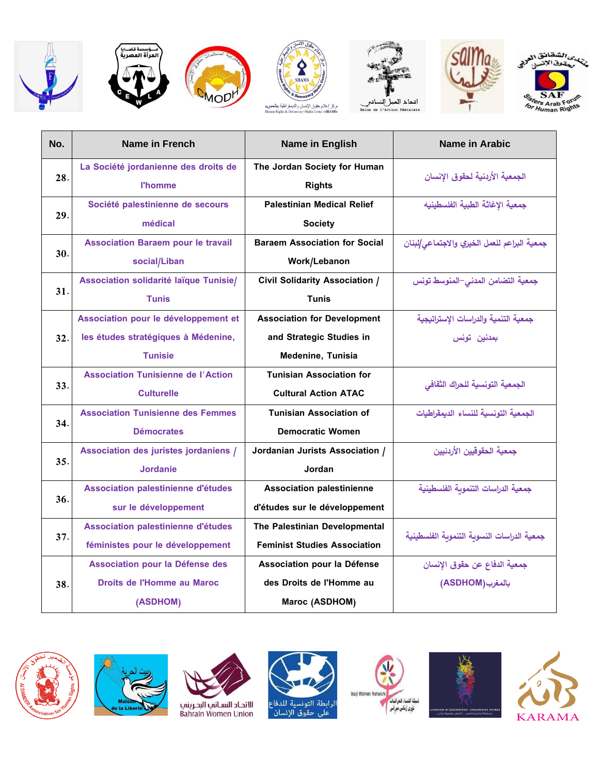













|  | No.      | <b>Name in French</b>                     | Name in English                       | <b>Name in Arabic</b>                        |
|--|----------|-------------------------------------------|---------------------------------------|----------------------------------------------|
|  |          | La Société jordanienne des droits de      | The Jordan Society for Human          | الجمعية الأردنية لحقوق الانسان               |
|  | 28.      | <b>l'homme</b>                            | <b>Rights</b>                         |                                              |
|  |          | Société palestinienne de secours          | <b>Palestinian Medical Relief</b>     | جمعية الإغاثة الطبية الفلسطينيه              |
|  | 29.      | médical                                   | <b>Society</b>                        |                                              |
|  |          | <b>Association Baraem pour le travail</b> | <b>Baraem Association for Social</b>  | جمعية البراعم للعمل الخيري والاجتماعى للبنان |
|  | 30.      | social/Liban                              | Work/Lebanon                          |                                              |
|  |          | Association solidarité laïque Tunisie/    | <b>Civil Solidarity Association /</b> | جمعية التضامن المدنى–المنوسط تونس            |
|  | 31.      | <b>Tunis</b>                              | <b>Tunis</b>                          |                                              |
|  |          | Association pour le développement et      | <b>Association for Development</b>    | جمعية التنمية والدراسات الإستراتيجية         |
|  | 32.      | les études stratégiques à Médenine,       | and Strategic Studies in              | بمدنين تونس                                  |
|  |          | <b>Tunisie</b>                            | <b>Medenine, Tunisia</b>              |                                              |
|  |          | <b>Association Tunisienne de l'Action</b> | <b>Tunisian Association for</b>       |                                              |
|  | 33.      | <b>Culturelle</b>                         | <b>Cultural Action ATAC</b>           | الجمعية التونسية للحراك الثقافى              |
|  |          | <b>Association Tunisienne des Femmes</b>  | <b>Tunisian Association of</b>        | الجمعية التونسية للنساء الديمقراطيات         |
|  | 34.      | <b>Démocrates</b>                         | <b>Democratic Women</b>               |                                              |
|  |          | Association des juristes jordaniens /     | Jordanian Jurists Association /       | جمعية الحقوقيين الأردنيين                    |
|  | 35.      | <b>Jordanie</b>                           | Jordan                                |                                              |
|  |          | Association palestinienne d'études        | <b>Association palestinienne</b>      | جمعية الدراسات التنموبة الفلسطينية           |
|  | 36.      | sur le développement                      | d'études sur le développement         |                                              |
|  |          | Association palestinienne d'études        | The Palestinian Developmental         |                                              |
|  | 37.      | féministes pour le développement          | <b>Feminist Studies Association</b>   | جمعية الدراسات النسوية التنموية الفلسطينية   |
|  |          | Association pour la Défense des           | Association pour la Défense           | جمعية الدفاع عن حقوق الإنسان                 |
|  | 38.      | Droits de l'Homme au Maroc                | des Droits de l'Homme au              | بالمغرب(ASDHOM)                              |
|  | (ASDHOM) | Maroc (ASDHOM)                            |                                       |                                              |













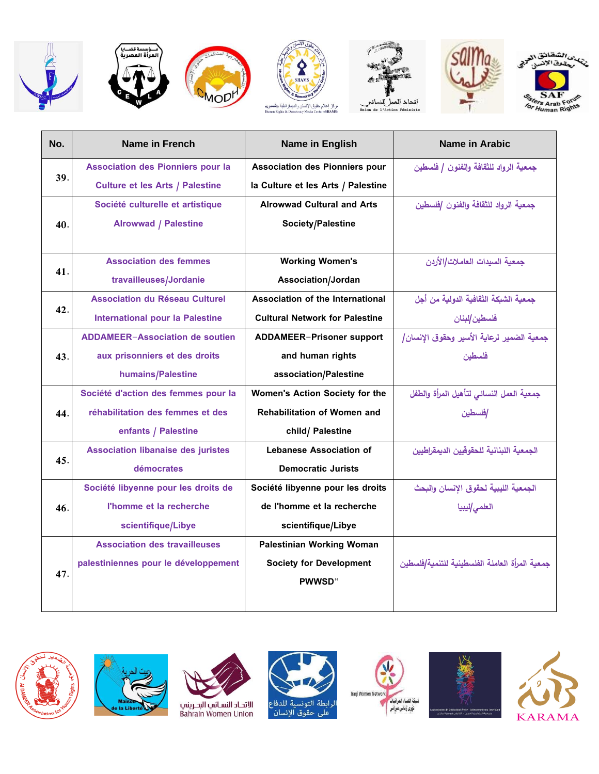











| No. | Name in French                            | <b>Name in English</b>                | Name in Arabic                                 |
|-----|-------------------------------------------|---------------------------------------|------------------------------------------------|
|     | <b>Association des Pionniers pour la</b>  | <b>Association des Pionniers pour</b> | جمعية الرواد للثقافة والفنون / فلسطين          |
| 39. | <b>Culture et les Arts / Palestine</b>    | la Culture et les Arts / Palestine    |                                                |
|     | Société culturelle et artistique          | <b>Alrowwad Cultural and Arts</b>     | جمعية الرواد للثقافة والفنون /فلسطين           |
| 40. | <b>Alrowwad / Palestine</b>               | Society/Palestine                     |                                                |
|     |                                           |                                       |                                                |
|     | <b>Association des femmes</b>             | <b>Working Women's</b>                | جمعية السيدات العاملات/الأربن                  |
| 41. | travailleuses/Jordanie                    | Association/Jordan                    |                                                |
|     | <b>Association du Réseau Culturel</b>     | Association of the International      | جمعية الشبكة الثقافية الدولية من أجل           |
| 42. | <b>International pour la Palestine</b>    | <b>Cultural Network for Palestine</b> | فلسطين <i>إ</i> نبنان                          |
|     | <b>ADDAMEER-Association de soutien</b>    | ADDAMEER-Prisoner support             | جمعية الضمير لرعاية الأسير وحقوق الإنسان/      |
| 43. | aux prisonniers et des droits             | and human rights                      | فلسطين                                         |
|     | humains/Palestine                         | association/Palestine                 |                                                |
|     | Société d'action des femmes pour la       | Women's Action Society for the        | جمعية العمل النسائي لتأهيل المرأة والطفل       |
| 44. | réhabilitation des femmes et des          | <b>Rehabilitation of Women and</b>    | إفلسطين                                        |
|     | enfants / Palestine                       | child/ Palestine                      |                                                |
|     | <b>Association libanaise des juristes</b> | <b>Lebanese Association of</b>        | الحمعية اللبنانية للحقوقيين الديمقراطيين       |
| 45. | démocrates                                | <b>Democratic Jurists</b>             |                                                |
|     | Société libyenne pour les droits de       | Société libyenne pour les droits      | الجمعية الليبية لحقوق الانسان والبحث           |
| 46. | l'homme et la recherche                   | de l'homme et la recherche            | العلمى/ليبيا                                   |
|     | scientifique/Libye                        | scientifique/Libye                    |                                                |
|     | <b>Association des travailleuses</b>      | Palestinian Working Woman             |                                                |
|     | palestiniennes pour le développement      | <b>Society for Development</b>        | جمعية المرأة العاملة الفلسطينية للتنمية/فلسطين |
| 47. |                                           | PWWSD"                                |                                                |
|     |                                           |                                       |                                                |













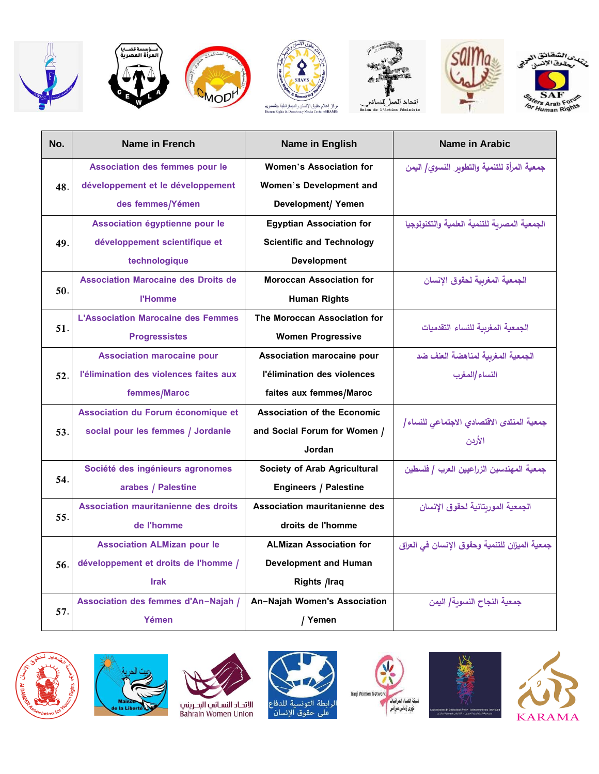















| No. | Name in French                              | Name in English                      | Name in Arabic                                       |
|-----|---------------------------------------------|--------------------------------------|------------------------------------------------------|
|     | Association des femmes pour le              | Women's Association for              | جمعية المرأة للتنمية والتطوبر النسوي/ اليمن          |
| 48. | développement et le développement           | Women's Development and              |                                                      |
|     | des femmes/Yémen                            | <b>Development/ Yemen</b>            |                                                      |
|     | Association égyptienne pour le              | <b>Egyptian Association for</b>      | الجمعية المصربة للتنمية العلمية والتكنولوجيا         |
| 49. | développement scientifique et               | <b>Scientific and Technology</b>     |                                                      |
|     | technologique                               | <b>Development</b>                   |                                                      |
|     | <b>Association Marocaine des Droits de</b>  | <b>Moroccan Association for</b>      | الجمعية المغربية لحقوق الإنسان                       |
| 50. | <b>l'Homme</b>                              | <b>Human Rights</b>                  |                                                      |
|     | <b>L'Association Marocaine des Femmes</b>   | The Moroccan Association for         |                                                      |
| 51. | <b>Progressistes</b>                        | <b>Women Progressive</b>             | الجمعية المغربية للنساء التقدميات                    |
|     | <b>Association marocaine pour</b>           | Association marocaine pour           | الجمعية المغربية لمناهضة العنف ضد                    |
| 52. | l'élimination des violences faites aux      | l'élimination des violences          | النساء /المغرب                                       |
|     | femmes/Maroc                                | faites aux femmes/Maroc              |                                                      |
|     | Association du Forum économique et          | <b>Association of the Economic</b>   |                                                      |
| 53. | social pour les femmes / Jordanie           | and Social Forum for Women /         | جمعية المنتدى الاقتصادي الاجتماعي للنساء  <br>الأردن |
|     |                                             | Jordan                               |                                                      |
|     | Société des ingénieurs agronomes            | <b>Society of Arab Agricultural</b>  | جمعية المهندسين الزراعيين العرب / فلسطين             |
| 54. | arabes / Palestine                          | <b>Engineers / Palestine</b>         |                                                      |
|     | <b>Association mauritanienne des droits</b> | <b>Association mauritanienne des</b> | الجمعية الموربتانية لحقوق الإنسان                    |
| 55. | de l'homme                                  | droits de l'homme                    |                                                      |
|     | <b>Association ALMizan pour le</b>          | <b>ALMizan Association for</b>       | جمعية الميزان للتنمية وحقوق الإنسان في العراق        |
| 56. | développement et droits de l'homme /        | <b>Development and Human</b>         |                                                      |
|     | <b>Irak</b>                                 | Rights /Iraq                         |                                                      |
|     | Association des femmes d'An-Najah /         | An-Najah Women's Association         | جمعية النجاح النسوبة/ اليمن                          |
| 57. | Yémen                                       | / Yemen                              |                                                      |













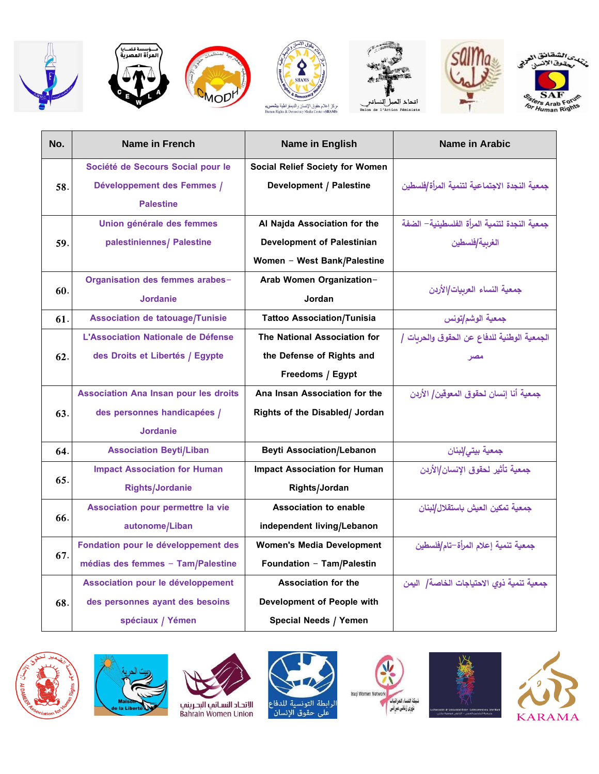













| No. | Name in French                               | <b>Name in English</b>                 | Name in Arabic                               |
|-----|----------------------------------------------|----------------------------------------|----------------------------------------------|
|     | Société de Secours Social pour le            | <b>Social Relief Society for Women</b> |                                              |
| 58. | Développement des Femmes /                   | <b>Development / Palestine</b>         | جمعية النجدة الاجتماعية لتنمية المرأة/فلسطين |
|     | <b>Palestine</b>                             |                                        |                                              |
|     | Union générale des femmes                    | Al Najda Association for the           | جمعية النجدة لتنمية المرأة الفلسطينية— الضفة |
| 59. | palestiniennes/ Palestine                    | <b>Development of Palestinian</b>      | الغربية/فلسطين                               |
|     |                                              | Women - West Bank/Palestine            |                                              |
|     | Organisation des femmes arabes-              | Arab Women Organization-               |                                              |
| 60. | <b>Jordanie</b>                              | Jordan                                 | جمعية النساء العربيات/الأردن                 |
| 61. | <b>Association de tatouage/Tunisie</b>       | <b>Tattoo Association/Tunisia</b>      | جمعية الوشم تونس                             |
|     | L'Association Nationale de Défense           | The National Association for           | الجمعية الوطنية للدفاع عن الحقوق والحريات /  |
| 62. | des Droits et Libertés / Egypte              | the Defense of Rights and              | مصر                                          |
|     |                                              | Freedoms / Egypt                       |                                              |
|     | <b>Association Ana Insan pour les droits</b> | Ana Insan Association for the          | جمعية أنا إنسان لحقوق المعوقين/ الأردن       |
| 63. | des personnes handicapées /                  | Rights of the Disabled/ Jordan         |                                              |
|     | <b>Jordanie</b>                              |                                        |                                              |
| 64. | <b>Association Beyti/Liban</b>               | <b>Beyti Association/Lebanon</b>       | جمعية بيتى إلبنان                            |
|     | <b>Impact Association for Human</b>          | <b>Impact Association for Human</b>    | جمعية تأثير لحقوق الإنسان/الأردن             |
| 65. | <b>Rights/Jordanie</b>                       | Rights/Jordan                          |                                              |
|     | Association pour permettre la vie            | <b>Association to enable</b>           | جمعية تمكين العيش باستقلال/لبنان             |
| 66. | autonome/Liban                               | independent living/Lebanon             |                                              |
| 67. | Fondation pour le développement des          | <b>Women's Media Development</b>       | جمعية تنمية إعلام المرأة–تام/فلسطين          |
|     | médias des femmes - Tam/Palestine            | Foundation - Tam/Palestin              |                                              |
|     | Association pour le développement            | <b>Association for the</b>             | جمعية تنمية ذوى الاحتياجات الخاصة/ اليمن     |
| 68. | des personnes ayant des besoins              | Development of People with             |                                              |
|     | spéciaux / Yémen                             | Special Needs / Yemen                  |                                              |













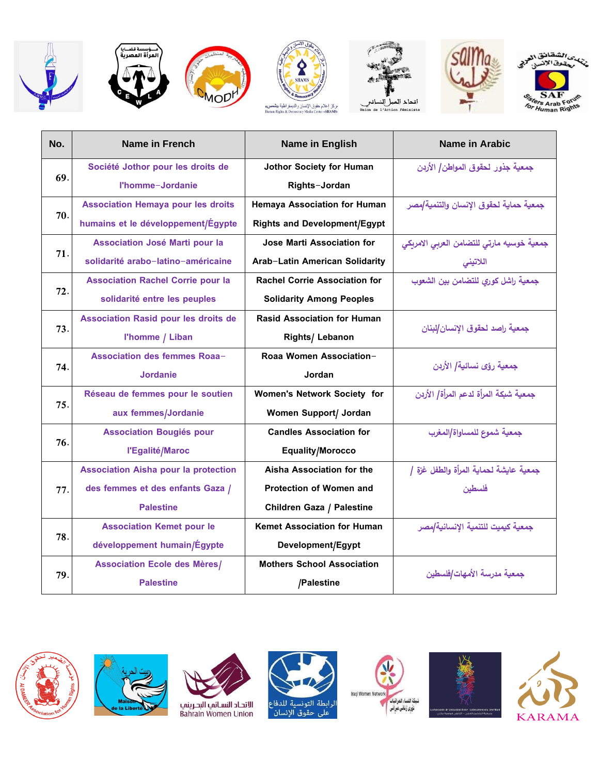















| No. | Name in French                              | <b>Name in English</b>               | <b>Name in Arabic</b>                     |
|-----|---------------------------------------------|--------------------------------------|-------------------------------------------|
| 69. | Société Jothor pour les droits de           | <b>Jothor Society for Human</b>      | جمعية جذور لحقوق المواطن/ الأربن          |
|     | l'homme-Jordanie                            | Rights-Jordan                        |                                           |
|     | <b>Association Hemaya pour les droits</b>   | <b>Hemaya Association for Human</b>  | جمعية حماية لحقوق الإنسان والتنمية/مصر    |
| 70. | humains et le développement/Égypte          | <b>Rights and Development/Egypt</b>  |                                           |
|     | Association José Marti pour la              | Jose Marti Association for           | جمعية خوسيه مارتي للتضامن العربي الامريكي |
| 71. | solidarité arabo-latino-américaine          | Arab-Latin American Solidarity       | اللاتينى                                  |
|     | <b>Association Rachel Corrie pour la</b>    | <b>Rachel Corrie Association for</b> | جمعية راشل كوري للتضامن بين الشعوب        |
| 72. | solidarité entre les peuples                | <b>Solidarity Among Peoples</b>      |                                           |
|     | <b>Association Rasid pour les droits de</b> | <b>Rasid Association for Human</b>   | جمعية راصد لحقوق الإنسان/لبنان            |
| 73. | l'homme / Liban                             | Rights/ Lebanon                      |                                           |
| 74. | <b>Association des femmes Roaa-</b>         | Roaa Women Association-              | جمعية رؤى نسائية/ الأردن                  |
|     | <b>Jordanie</b>                             | Jordan                               |                                           |
| 75. | Réseau de femmes pour le soutien            | <b>Women's Network Society for</b>   | جمعية شبكة المرأة لدعم المرأة/ الأردن     |
|     | aux femmes/Jordanie                         | Women Support/ Jordan                |                                           |
|     | <b>Association Bougiés pour</b>             | <b>Candles Association for</b>       | جمعية شموع للمساواة/المغرب                |
| 76. | l'Egalité/Maroc                             | <b>Equality/Morocco</b>              |                                           |
|     | <b>Association Aisha pour la protection</b> | Aisha Association for the            | جمعية عايشة لحماية المرأة والطفل غزة /    |
| 77. | des femmes et des enfants Gaza /            | <b>Protection of Women and</b>       | فلسطين                                    |
|     | <b>Palestine</b>                            | Children Gaza / Palestine            |                                           |
|     | <b>Association Kemet pour le</b>            | <b>Kemet Association for Human</b>   | جمعية كيميت للتنمية الإنسانية/مصر         |
| 78. | développement humain/Égypte                 | Development/Egypt                    |                                           |
|     | <b>Association Ecole des Mères/</b>         | <b>Mothers School Association</b>    | جمعية مدرسة الأمهات/فلسطين                |
| 79. | <b>Palestine</b>                            | /Palestine                           |                                           |













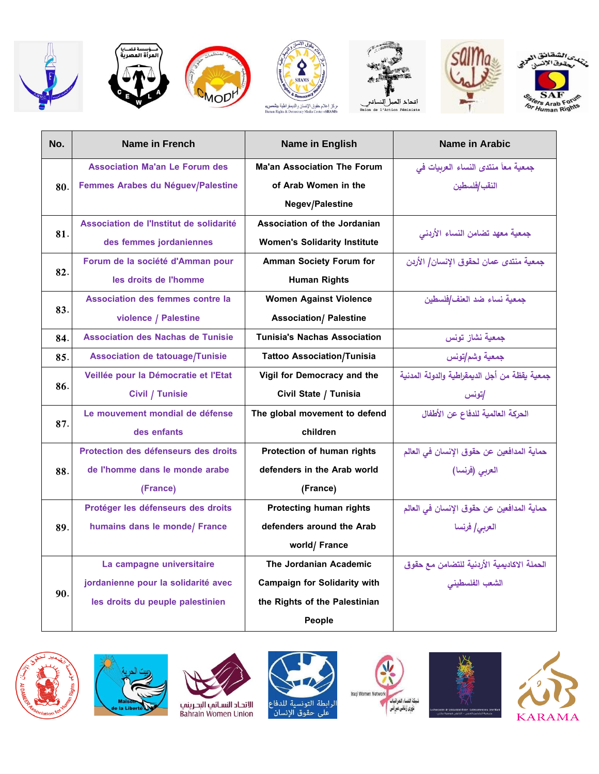













| No. | Name in French                           | <b>Name in English</b>              | <b>Name in Arabic</b>                         |
|-----|------------------------------------------|-------------------------------------|-----------------------------------------------|
|     | <b>Association Ma'an Le Forum des</b>    | <b>Ma'an Association The Forum</b>  | جمعية معاً منتدى النساء العربيات في           |
| 80. | Femmes Arabes du Néguev/Palestine        | of Arab Women in the                | النقب /فلسطين                                 |
|     |                                          | <b>Negev/Palestine</b>              |                                               |
|     | Association de l'Institut de solidarité  | Association of the Jordanian        | جمعية معهد تضامن النساء الأردنى               |
| 81. | des femmes jordaniennes                  | <b>Women's Solidarity Institute</b> |                                               |
|     | Forum de la société d'Amman pour         | <b>Amman Society Forum for</b>      | جمعية منتدى عمان لحقوق الانسان/ الأردن        |
| 82. | les droits de l'homme                    | <b>Human Rights</b>                 |                                               |
|     | Association des femmes contre la         | <b>Women Against Violence</b>       | جمعية نساء ضد العنف/فلسطين                    |
| 83. | violence / Palestine                     | <b>Association/ Palestine</b>       |                                               |
| 84. | <b>Association des Nachas de Tunisie</b> | <b>Tunisia's Nachas Association</b> | جمعية نشاز تونس                               |
| 85. | <b>Association de tatouage/Tunisie</b>   | <b>Tattoo Association/Tunisia</b>   | جمعية وشم تونس                                |
| 86. | Veillée pour la Démocratie et l'Etat     | Vigil for Democracy and the         | جمعية يقظة من أجل الديمقراطية والدولة المدنية |
|     | Civil / Tunisie                          | Civil State / Tunisia               | إتونس                                         |
| 87. | Le mouvement mondial de défense          | The global movement to defend       | الحركة العالمية للدفاع عن الأطفال             |
|     | des enfants                              | children                            |                                               |
|     | Protection des défenseurs des droits     | Protection of human rights          | حماية المدافعين عن حقوق الإنسان في العالم     |
| 88. | de l'homme dans le monde arabe           | defenders in the Arab world         | العربي (فرنسا)                                |
|     | (France)                                 | (France)                            |                                               |
|     | Protéger les défenseurs des droits       | <b>Protecting human rights</b>      | حماية المدافعين عن حقوق الإنسان في العالم     |
| 89. | humains dans le monde/ France            | defenders around the Arab           | العربي/ فرنسا                                 |
|     |                                          | world/ France                       |                                               |
|     | La campagne universitaire                | The Jordanian Academic              | الحملة الاكاديمية الأردنية للتضامن مع حقوق    |
|     | jordanienne pour la solidarité avec      | <b>Campaign for Solidarity with</b> | الشعب الفلسطيني                               |
| 90. | les droits du peuple palestinien         | the Rights of the Palestinian       |                                               |
|     |                                          | <b>People</b>                       |                                               |













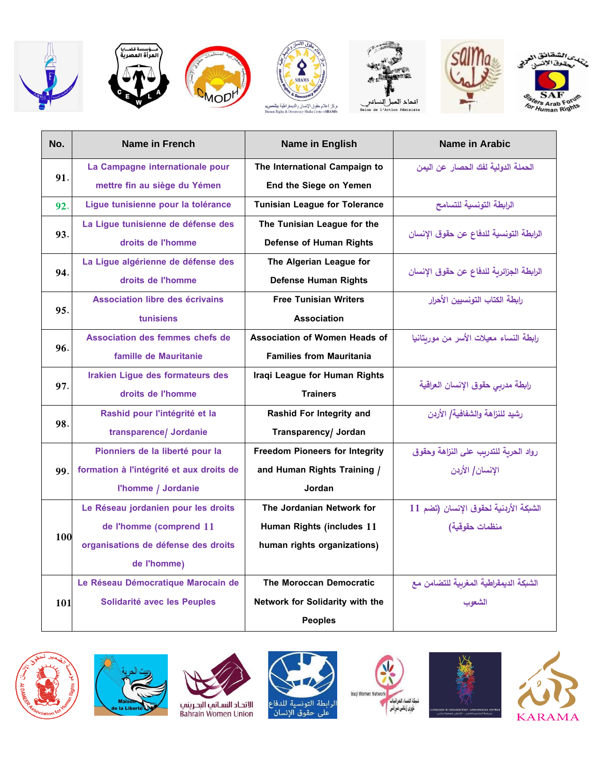











| No. | Name in French                           | Name in English                       | Name in Arabic                           |
|-----|------------------------------------------|---------------------------------------|------------------------------------------|
| 91. | La Campagne internationale pour          | The International Campaign to         | الحملة الدولية لفك الحصار عن اليمن       |
|     | mettre fin au siège du Yémen             | End the Siege on Yemen                |                                          |
| 92. | Lique tunisienne pour la tolérance       | <b>Tunisian League for Tolerance</b>  | الرابطة التونسية للتسامح                 |
|     | La Ligue tunisienne de défense des       | The Tunisian League for the           |                                          |
| 93. | droits de l'homme                        | <b>Defense of Human Rights</b>        | الرابطة التونسية للدفاع عن حقوق الإنسان  |
|     | La Ligue algérienne de défense des       | The Algerian League for               |                                          |
| 94. | droits de l'homme                        | <b>Defense Human Rights</b>           | الرابطة الجزائرية للدفاع عن حقوق الإنسان |
|     | Association libre des écrivains          | <b>Free Tunisian Writers</b>          | رابطة الكتاب التونسيين الأحرار           |
| 95. | tunisiens                                | <b>Association</b>                    |                                          |
|     | Association des femmes chefs de          | Association of Women Heads of         | رابطة النساء معيلات الأسر من موربتانيا   |
| 96. | famille de Mauritanie                    | <b>Families from Mauritania</b>       |                                          |
|     | Irakien Ligue des formateurs des         | Iragi League for Human Rights         |                                          |
| 97. | droits de l'homme                        | <b>Trainers</b>                       | رابطة مدربى حقوق الإنسان العراقية        |
|     | Rashid pour l'intégrité et la            | <b>Rashid For Integrity and</b>       | رشيد للنزاهة والشفافية/ الأردن           |
| 98. | transparence/ Jordanie                   | Transparency/ Jordan                  |                                          |
|     | Pionniers de la liberté pour la          | <b>Freedom Pioneers for Integrity</b> | رواد الحربة للتدربب على النزاهة وحقوق    |
| 99. | formation à l'intégrité et aux droits de | and Human Rights Training /           | الإنسان/ الأردن                          |
|     | l'homme / Jordanie                       | Jordan                                |                                          |
|     | Le Réseau jordanien pour les droits      | The Jordanian Network for             | الشبكة الأردنية لحقوق الإنسان (تضم 11    |
|     | de l'homme (comprend 11                  | Human Rights (includes 11             | منظمات حقوقية)                           |
| 100 | organisations de défense des droits      | human rights organizations)           |                                          |
|     | de l'homme)                              |                                       |                                          |
|     | Le Réseau Démocratique Marocain de       | <b>The Moroccan Democratic</b>        | الشبكة الديمقراطية المغربية للتضامن مع   |
| 101 | Solidarité avec les Peuples              | Network for Solidarity with the       | الشعوب                                   |
|     |                                          | <b>Peoples</b>                        |                                          |













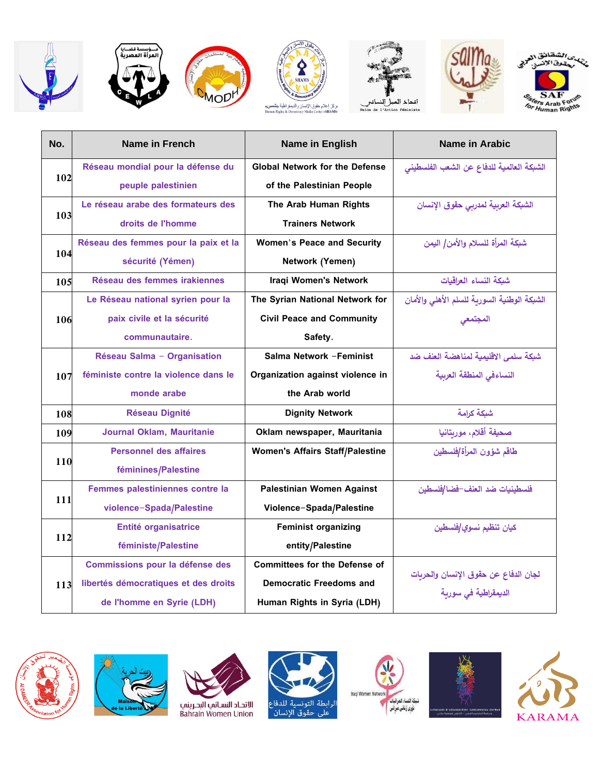















| No. | Name in French                       | Name in English                        | <b>Name in Arabic</b>                       |
|-----|--------------------------------------|----------------------------------------|---------------------------------------------|
| 102 | Réseau mondial pour la défense du    | <b>Global Network for the Defense</b>  | الشبكة العالمية للدفاع عن الشعب الفلسطيني   |
|     | peuple palestinien                   | of the Palestinian People              |                                             |
|     | Le réseau arabe des formateurs des   | The Arab Human Rights                  | الشبكة العربية لمدربي حقوق الإنسان          |
| 103 | droits de l'homme                    | <b>Trainers Network</b>                |                                             |
|     | Réseau des femmes pour la paix et la | <b>Women's Peace and Security</b>      | شبكة المرأة للسلام والأمن/ اليمن            |
| 104 | sécurité (Yémen)                     | Network (Yemen)                        |                                             |
| 105 | Réseau des femmes irakiennes         | <b>Iraqi Women's Network</b>           | شبكة النساء العراقيات                       |
|     | Le Réseau national syrien pour la    | The Syrian National Network for        | الشبكة الوطنية السورية للسلم الأهلي والأمان |
| 106 | paix civile et la sécurité           | <b>Civil Peace and Community</b>       | المجتمعى                                    |
|     | communautaire.                       | Safety.                                |                                             |
|     | Réseau Salma - Organisation          | Salma Network - Feminist               | شبكة سلمي الإقليمية لمناهضة العنف ضد        |
| 107 | féministe contre la violence dans le | Organization against violence in       | النساءفي المنطقة العربية                    |
|     | monde arabe                          | the Arab world                         |                                             |
| 108 | <b>Réseau Dignité</b>                | <b>Dignity Network</b>                 | شبكة كرامة                                  |
| 109 | <b>Journal Oklam, Mauritanie</b>     | Oklam newspaper, Mauritania            | صحيفة أقلام، موربتانيا                      |
|     | <b>Personnel des affaires</b>        | <b>Women's Affairs Staff/Palestine</b> | طاقم شؤون المرأة/فلسطين                     |
| 110 | féminines/Palestine                  |                                        |                                             |
|     | Femmes palestiniennes contre la      | Palestinian Women Against              | فلسطينيات ضد العنف–فضا /فلسطين              |
| 111 | violence-Spada/Palestine             | Violence-Spada/Palestine               |                                             |
|     | Entité organisatrice                 | <b>Feminist organizing</b>             | كيان تنظيم نسوي/فلسطين                      |
| 112 | féministe/Palestine                  | entity/Palestine                       |                                             |
|     | Commissions pour la défense des      | <b>Committees for the Defense of</b>   |                                             |
| 113 | libertés démocratiques et des droits | <b>Democratic Freedoms and</b>         | لجان الدفاع عن حقوق الإنسان والحريات        |
|     | de l'homme en Syrie (LDH)            | Human Rights in Syria (LDH)            | الديمقراطية فى سورية                        |













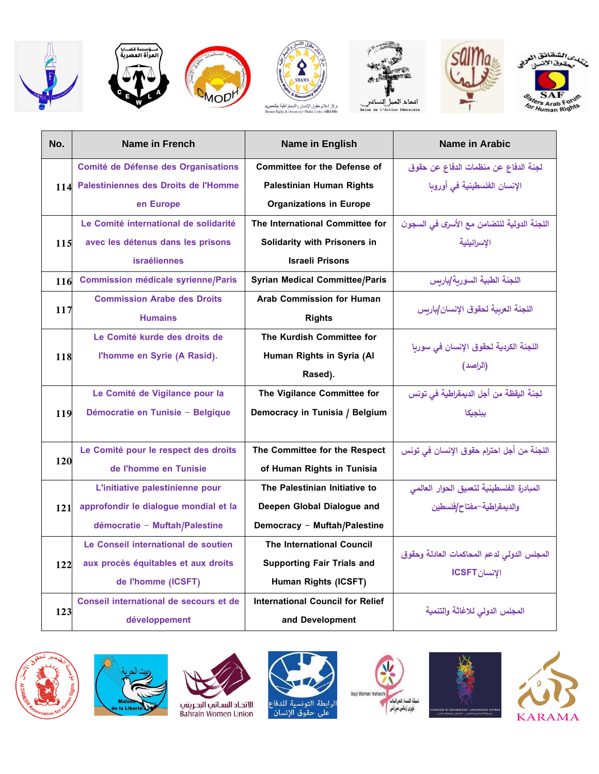













| No. | Name in French                            | <b>Name in English</b>                  | Name in Arabic                                              |
|-----|-------------------------------------------|-----------------------------------------|-------------------------------------------------------------|
|     | Comité de Défense des Organisations       | <b>Committee for the Defense of</b>     | لجنة الدفاع عن منظمات الدفاع عن حقوق                        |
|     | 114 Palestiniennes des Droits de l'Homme  | <b>Palestinian Human Rights</b>         | الإنسان الفلسطينية في أوروبا                                |
|     | en Europe                                 | <b>Organizations in Europe</b>          |                                                             |
|     | Le Comité international de solidarité     | The International Committee for         | اللجنة الدولية للتضامن مع الأسرى في السجون                  |
| 115 | avec les détenus dans les prisons         | Solidarity with Prisoners in            | الإسرائيلية                                                 |
|     | <b>israéliennes</b>                       | <b>Israeli Prisons</b>                  |                                                             |
| 116 | <b>Commission médicale syrienne/Paris</b> | <b>Syrian Medical Committee/Paris</b>   | اللجنة الطبية السورية /باريس                                |
|     | <b>Commission Arabe des Droits</b>        | <b>Arab Commission for Human</b>        |                                                             |
| 117 | <b>Humains</b>                            | <b>Rights</b>                           | اللجنة العربية لحقوق الإنسان/باربس                          |
|     | Le Comité kurde des droits de             | The Kurdish Committee for               |                                                             |
| 118 | l'homme en Syrie (A Rasid).               | Human Rights in Syria (Al               | اللجنة الكردية لحقوق الإنسان في سوريا                       |
|     |                                           | Rased).                                 | (الراصد)                                                    |
|     | Le Comité de Vigilance pour la            | The Vigilance Committee for             | لجنة اليقظة من أجل الديمقراطية في تونس                      |
| 119 | Démocratie en Tunisie - Belgique          | Democracy in Tunisia / Belgium          | ببلجيكا                                                     |
|     |                                           |                                         |                                                             |
|     | Le Comité pour le respect des droits      | The Committee for the Respect           | اللجنة من أجل احترام حقوق الإنسان في تونس                   |
| 120 | de l'homme en Tunisie                     | of Human Rights in Tunisia              |                                                             |
|     | L'initiative palestinienne pour           | The Palestinian Initiative to           | المبادرة الفلسطينية لتعميق الحوار العالمى                   |
| 121 | approfondir le dialogue mondial et la     | Deepen Global Dialogue and              | والديمقراطية–مفتاح/فلسطين                                   |
|     | démocratie - Muftah/Palestine             | Democracy - Muftah/Palestine            |                                                             |
|     | Le Conseil international de soutien       | <b>The International Council</b>        |                                                             |
| 122 | aux procès équitables et aux droits       | <b>Supporting Fair Trials and</b>       | المجلس الدولى لدعم المحاكمات العادلة وحقوق<br>الإنسان ICSFT |
|     | de l'homme (ICSFT)                        | Human Rights (ICSFT)                    |                                                             |
|     | Conseil international de secours et de    | <b>International Council for Relief</b> |                                                             |
| 123 | développement                             | and Development                         | المجلس الدولى للاغاثة والتنمية                              |













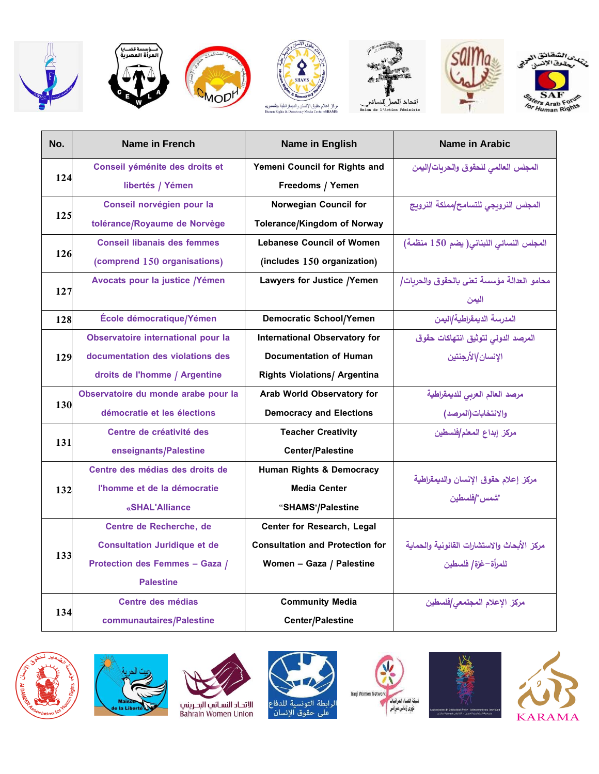













| No. | <b>Name in French</b>               | Name in English                        | Name in Arabic                              |
|-----|-------------------------------------|----------------------------------------|---------------------------------------------|
|     | Conseil yéménite des droits et      | Yemeni Council for Rights and          | المجلس العالمي للحقوق والحربات/اليمن        |
| 124 | libertés / Yémen                    | Freedoms / Yemen                       |                                             |
|     | Conseil norvégien pour la           | <b>Norwegian Council for</b>           | المجلس النروبجي للتسامح/مملكة النروبج       |
| 125 | tolérance/Royaume de Norvège        | <b>Tolerance/Kingdom of Norway</b>     |                                             |
|     | <b>Conseil libanais des femmes</b>  | <b>Lebanese Council of Women</b>       | المجلس النسائي اللبناني(يضم 150 منظمة)      |
| 126 | (comprend 150 organisations)        | (includes 150 organization)            |                                             |
|     | Avocats pour la justice /Yémen      | Lawyers for Justice /Yemen             | محامو العدالة مؤسسة تعنى بالحقوق والحربات/  |
| 127 |                                     |                                        | اليمن                                       |
| 128 | École démocratique/Yémen            | <b>Democratic School/Yemen</b>         | المدرسة الديمقراطية/اليمن                   |
|     | Observatoire international pour la  | <b>International Observatory for</b>   | المرصد الدولى لتوثيق انتهاكات حقوق          |
| 129 | documentation des violations des    | <b>Documentation of Human</b>          | الإنسان/الأرجنتين                           |
|     | droits de l'homme / Argentine       | <b>Rights Violations/ Argentina</b>    |                                             |
|     | Observatoire du monde arabe pour la | Arab World Observatory for             | مرصد العالم العربي للديمقراطية              |
| 130 | démocratie et les élections         | <b>Democracy and Elections</b>         | والانتخابات(المرصد)                         |
| 131 | Centre de créativité des            | <b>Teacher Creativity</b>              | مركز إبداع المعلم/فلسطين                    |
|     | enseignants/Palestine               | <b>Center/Palestine</b>                |                                             |
|     | Centre des médias des droits de     | Human Rights & Democracy               | مركز إعلام حقوق الإنسان والديمقراطية        |
| 132 | l'homme et de la démocratie         | <b>Media Center</b>                    | "شمس"/فلسطين                                |
|     | «SHAL'Alliance                      | "SHAMS"/Palestine                      |                                             |
|     | Centre de Recherche, de             | Center for Research, Legal             |                                             |
|     | <b>Consultation Juridique et de</b> | <b>Consultation and Protection for</b> | مركز الأبحاث والاستشارات القانونية والحماية |
| 133 | Protection des Femmes - Gaza /      | Women - Gaza / Palestine               | للمرأة–غزة   فلسطين                         |
|     | <b>Palestine</b>                    |                                        |                                             |
|     | Centre des médias                   | <b>Community Media</b>                 | مركز الإعلام المجتمعى/فلسطين                |
| 134 | communautaires/Palestine            | Center/Palestine                       |                                             |













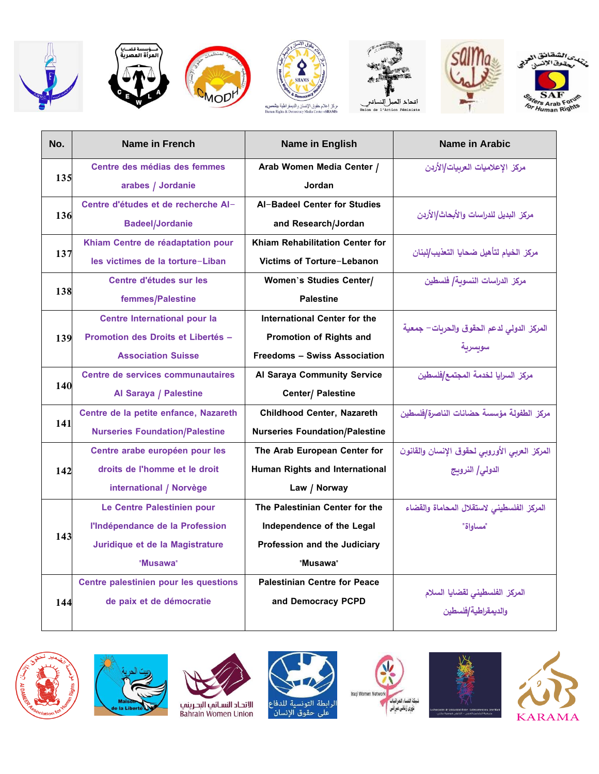













| No. | Name in French                        | <b>Name in English</b>                | Name in Arabic                                |
|-----|---------------------------------------|---------------------------------------|-----------------------------------------------|
|     | Centre des médias des femmes          | Arab Women Media Center /             | مركز الإعلاميات العربيات/الأردن               |
| 135 | arabes / Jordanie                     | Jordan                                |                                               |
|     | Centre d'études et de recherche Al-   | Al-Badeel Center for Studies          | مركز البديل للدراسات والأبحاث/الأردن          |
| 136 | <b>Badeel/Jordanie</b>                | and Research/Jordan                   |                                               |
|     | Khiam Centre de réadaptation pour     | Khiam Rehabilitation Center for       | مركز الخيام لتأهيل ضحايا التعذيب/لبنان        |
| 137 | les victimes de la torture-Liban      | Victims of Torture-Lebanon            |                                               |
|     | Centre d'études sur les               | <b>Women's Studies Center/</b>        | مركز الدراسات النسوبة/ فلسطين                 |
| 138 | femmes/Palestine                      | <b>Palestine</b>                      |                                               |
|     | Centre International pour la          | International Center for the          |                                               |
| 139 | Promotion des Droits et Libertés -    | <b>Promotion of Rights and</b>        | المركز الدولى لدعم الحقوق والحريات– جمعية     |
|     | <b>Association Suisse</b>             | <b>Freedoms - Swiss Association</b>   | سويسرية                                       |
|     | Centre de services communautaires     | Al Saraya Community Service           | مركز السرايا لخدمة المجتمع/فلسطين             |
| 140 | Al Saraya / Palestine                 | Center/ Palestine                     |                                               |
|     | Centre de la petite enfance, Nazareth | Childhood Center, Nazareth            | مركز الطفولة مؤسسة حضانات الناصرة/فلسطين      |
| 141 | <b>Nurseries Foundation/Palestine</b> | <b>Nurseries Foundation/Palestine</b> |                                               |
|     | Centre arabe européen pour les        | The Arab European Center for          | المركز العربي الأوروبي لحقوق الإنسان والقانون |
| 142 | droits de l'homme et le droit         | Human Rights and International        | الدولى/ النرويج                               |
|     | international / Norvège               | Law / Norway                          |                                               |
|     | Le Centre Palestinien pour            | The Palestinian Center for the        | المركز الفلسطينى لاستقلال المحاماة والقضاء    |
| 143 | l'Indépendance de la Profession       | Independence of the Legal             | "مساوإة                                       |
|     | Juridique et de la Magistrature       | Profession and the Judiciary          |                                               |
|     | "Musawa"                              | "Musawa"                              |                                               |
|     | Centre palestinien pour les questions | <b>Palestinian Centre for Peace</b>   |                                               |
| 144 | de paix et de démocratie              | and Democracy PCPD                    | المركز الفلسطيني لقضايا السلام                |
|     |                                       |                                       | والديمقراطية /فلسطين                          |













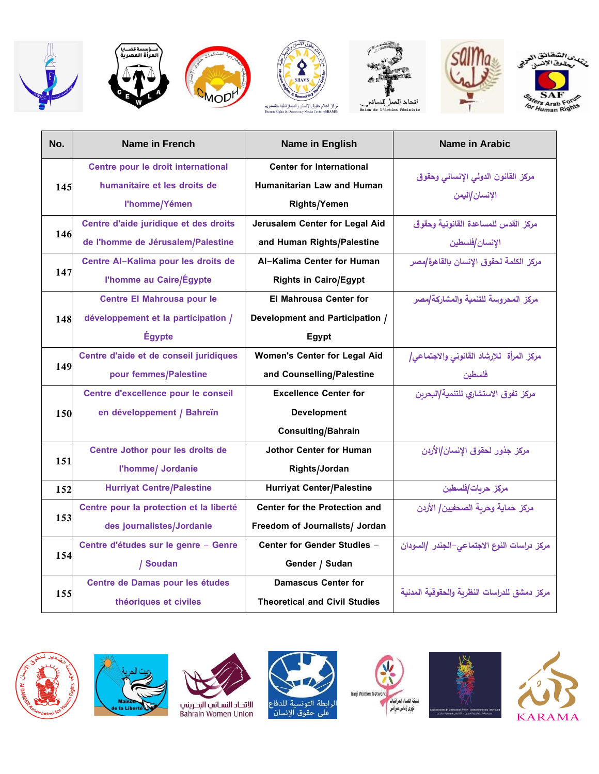













| No.                                                                       | <b>Name in French</b>                   | <b>Name in English</b>               | <b>Name in Arabic</b>                        |
|---------------------------------------------------------------------------|-----------------------------------------|--------------------------------------|----------------------------------------------|
|                                                                           | Centre pour le droit international      | <b>Center for International</b>      |                                              |
|                                                                           | humanitaire et les droits de            | Humanitarian Law and Human           | مركز القانون الدولى الإنساني وحقوق           |
| 145<br>146<br>147<br>148<br>149<br>150<br>151<br>152<br>153<br>154<br>155 | l'homme/Yémen                           | <b>Rights/Yemen</b>                  | الإنسان/اليمن                                |
|                                                                           | Centre d'aide juridique et des droits   | Jerusalem Center for Legal Aid       | مركز القدس للمساعدة القانونية وحقوق          |
|                                                                           | de l'homme de Jérusalem/Palestine       | and Human Rights/Palestine           | الإنسان/فلسطين                               |
|                                                                           | Centre Al-Kalima pour les droits de     | Al-Kalima Center for Human           | مركز الكلمة لحقوق الإنسان بالقاهرة مصر       |
|                                                                           | l'homme au Caire/Égypte                 | <b>Rights in Cairo/Egypt</b>         |                                              |
|                                                                           | <b>Centre El Mahrousa pour le</b>       | <b>El Mahrousa Center for</b>        | مركز المحروسة للتنمية والمشاركة/مصر          |
|                                                                           | développement et la participation /     | Development and Participation /      |                                              |
|                                                                           | <b>Égypte</b>                           | Egypt                                |                                              |
|                                                                           | Centre d'aide et de conseil juridiques  | <b>Women's Center for Legal Aid</b>  | مركز المرأة للإرشاد القانوني والاجتماعي/     |
|                                                                           | pour femmes/Palestine                   | and Counselling/Palestine            | فلسطين                                       |
|                                                                           | Centre d'excellence pour le conseil     | <b>Excellence Center for</b>         | مركز تفوق الاستشاري للتنمية البحربن          |
|                                                                           | en développement / Bahreïn              | <b>Development</b>                   |                                              |
|                                                                           |                                         | Consulting/Bahrain                   |                                              |
|                                                                           | Centre Jothor pour les droits de        | <b>Jothor Center for Human</b>       | مركز جذور لحقوق الإنسان/الأربن               |
|                                                                           | l'homme/ Jordanie                       | Rights/Jordan                        |                                              |
|                                                                           | <b>Hurriyat Centre/Palestine</b>        | <b>Hurriyat Center/Palestine</b>     | مركز حربات/فلسطين                            |
|                                                                           | Centre pour la protection et la liberté | Center for the Protection and        | مركز حماية وحربة الصحفيين/ الأردن            |
|                                                                           | des journalistes/Jordanie               | Freedom of Journalists/ Jordan       |                                              |
|                                                                           | Centre d'études sur le genre - Genre    | Center for Gender Studies -          | مركز دراسات النوع الاجتماعى–الجندر /السودان  |
|                                                                           | / Soudan                                | Gender / Sudan                       |                                              |
|                                                                           | Centre de Damas pour les études         | <b>Damascus Center for</b>           |                                              |
|                                                                           | théoriques et civiles                   | <b>Theoretical and Civil Studies</b> | مركز دمشق للدراسات النظربة والحقوقية المدنية |













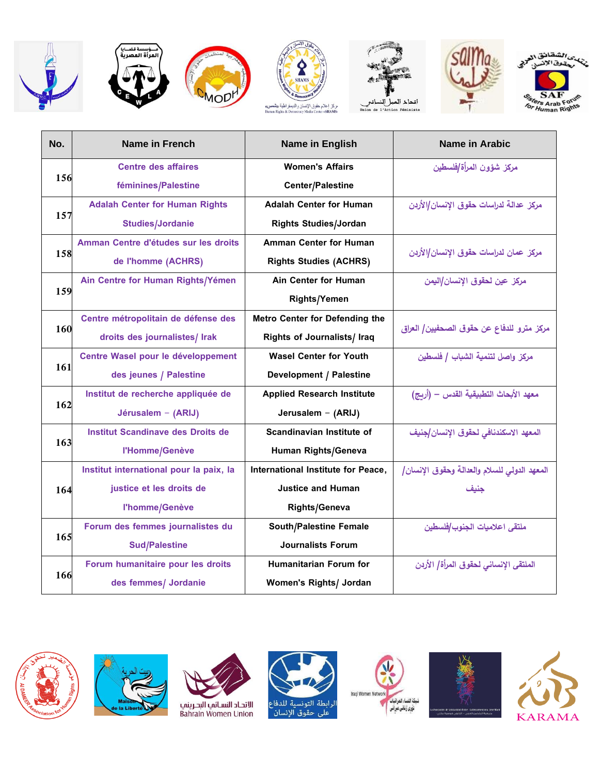











| No. | <b>Name in French</b>                    | Name in English                       | <b>Name in Arabic</b>                        |
|-----|------------------------------------------|---------------------------------------|----------------------------------------------|
|     | <b>Centre des affaires</b>               | <b>Women's Affairs</b>                | مركز شؤون المرأة/فلسطين                      |
| 156 | féminines/Palestine                      | Center/Palestine                      |                                              |
|     | <b>Adalah Center for Human Rights</b>    | <b>Adalah Center for Human</b>        | مركز عدالة لدراسات حقوق الإنسان/الأردن       |
| 157 | <b>Studies/Jordanie</b>                  | <b>Rights Studies/Jordan</b>          |                                              |
|     | Amman Centre d'études sur les droits     | <b>Amman Center for Human</b>         |                                              |
| 158 | de l'homme (ACHRS)                       | <b>Rights Studies (ACHRS)</b>         | مركز عمان لدراسات حقوق الإنسان/الأردن        |
|     | Ain Centre for Human Rights/Yémen        | Ain Center for Human                  | مركز عين لحقوق الإنسان/اليمن                 |
| 159 |                                          | <b>Rights/Yemen</b>                   |                                              |
|     | Centre métropolitain de défense des      | <b>Metro Center for Defending the</b> |                                              |
| 160 | droits des journalistes/ Irak            | Rights of Journalists/ Iraq           | مركز مترو للدفاع عن حقوق الصحفيين/ العراق    |
|     | Centre Wasel pour le développement       | <b>Wasel Center for Youth</b>         | مركز وإصل لتنمية الشباب / فلسطين             |
| 161 | des jeunes / Palestine                   | <b>Development / Palestine</b>        |                                              |
|     | Institut de recherche appliquée de       | <b>Applied Research Institute</b>     | معهد الأبحاث التطبيقية القدس – (أربج)        |
| 162 | Jérusalem - (ARIJ)                       | Jerusalem - (ARIJ)                    |                                              |
|     | <b>Institut Scandinave des Droits de</b> | Scandinavian Institute of             | المعهد الاسكندنافي لحقوق الإنسان /جنيف       |
| 163 | l'Homme/Genève                           | Human Rights/Geneva                   |                                              |
|     | Institut international pour la paix, la  | International Institute for Peace,    | المعهد الدولي للسلام والعدالة وحقوق الإنسان/ |
| 164 | justice et les droits de                 | <b>Justice and Human</b>              | جنيف                                         |
|     | l'homme/Genève                           | <b>Rights/Geneva</b>                  |                                              |
|     | Forum des femmes journalistes du         | <b>South/Palestine Female</b>         | ملتقى اعلاميات الجنوب/فلسطين                 |
| 165 | <b>Sud/Palestine</b>                     | <b>Journalists Forum</b>              |                                              |
|     | Forum humanitaire pour les droits        | Humanitarian Forum for                | الملتقى الإنساني لحقوق المرأة/ الأردن        |
| 166 | des femmes/ Jordanie                     | Women's Rights/ Jordan                |                                              |













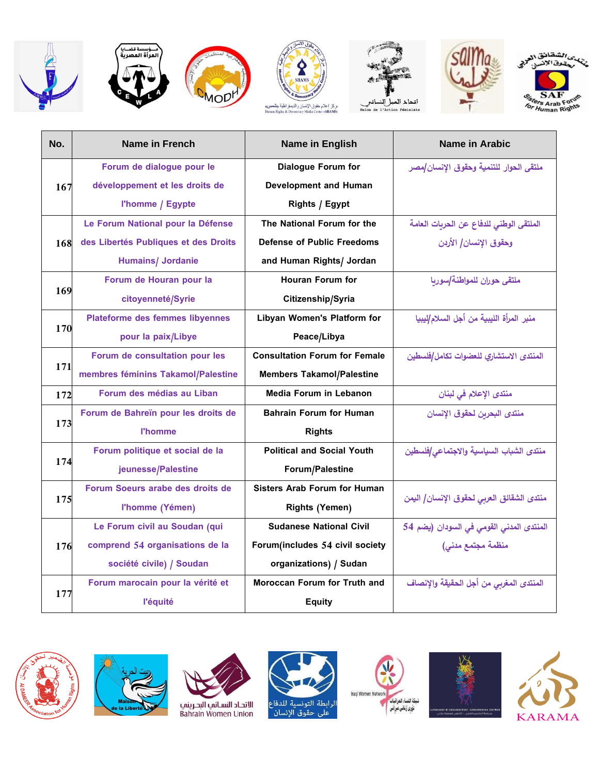













| No. | Name in French                                                                                                                                                                                                                                                                                                                                                                                                                                                                                                                                                                                                                                                                                                                                                                                                                                                                                                                                                                                                                                                                                                                                                                                                                                                                                                                                                                 | Name in English              | Name in Arabic                            |
|-----|--------------------------------------------------------------------------------------------------------------------------------------------------------------------------------------------------------------------------------------------------------------------------------------------------------------------------------------------------------------------------------------------------------------------------------------------------------------------------------------------------------------------------------------------------------------------------------------------------------------------------------------------------------------------------------------------------------------------------------------------------------------------------------------------------------------------------------------------------------------------------------------------------------------------------------------------------------------------------------------------------------------------------------------------------------------------------------------------------------------------------------------------------------------------------------------------------------------------------------------------------------------------------------------------------------------------------------------------------------------------------------|------------------------------|-------------------------------------------|
|     | Forum de dialogue pour le                                                                                                                                                                                                                                                                                                                                                                                                                                                                                                                                                                                                                                                                                                                                                                                                                                                                                                                                                                                                                                                                                                                                                                                                                                                                                                                                                      | <b>Dialogue Forum for</b>    | ملتقى الحوإر للتنمية وحقوق الإنسان/مصر    |
|     | développement et les droits de                                                                                                                                                                                                                                                                                                                                                                                                                                                                                                                                                                                                                                                                                                                                                                                                                                                                                                                                                                                                                                                                                                                                                                                                                                                                                                                                                 | <b>Development and Human</b> |                                           |
|     | 167<br>l'homme / Egypte<br>Rights / Egypt<br>Le Forum National pour la Défense<br>The National Forum for the<br>des Libertés Publiques et des Droits<br><b>Defense of Public Freedoms</b><br>168<br><b>Humains/ Jordanie</b><br>and Human Rights/ Jordan<br>Forum de Houran pour la<br>Houran Forum for<br>169<br>citoyenneté/Syrie<br>Citizenship/Syria<br><b>Plateforme des femmes libyennes</b><br>Libyan Women's Platform for<br>170<br>pour la paix/Libye<br>Peace/Libya<br><b>Consultation Forum for Female</b><br>Forum de consultation pour les<br>171<br>membres féminins Takamol/Palestine<br><b>Members Takamol/Palestine</b><br>Forum des médias au Liban<br><b>Media Forum in Lebanon</b><br>172<br>Forum de Bahreïn pour les droits de<br><b>Bahrain Forum for Human</b><br>173<br><b>l'homme</b><br><b>Rights</b><br>Forum politique et social de la<br><b>Political and Social Youth</b><br>174<br>jeunesse/Palestine<br>Forum/Palestine<br>Forum Soeurs arabe des droits de<br><b>Sisters Arab Forum for Human</b><br>175<br>l'homme (Yémen)<br><b>Rights (Yemen)</b><br>Le Forum civil au Soudan (qui<br><b>Sudanese National Civil</b><br>comprend 54 organisations de la<br>Forum(includes 54 civil society<br>176<br>société civile) / Soudan<br>organizations) / Sudan<br>Forum marocain pour la vérité et<br><b>Moroccan Forum for Truth and</b><br>177 |                              |                                           |
|     |                                                                                                                                                                                                                                                                                                                                                                                                                                                                                                                                                                                                                                                                                                                                                                                                                                                                                                                                                                                                                                                                                                                                                                                                                                                                                                                                                                                |                              | الملتقى الوطني للدفاع عن الحربات العامة   |
|     |                                                                                                                                                                                                                                                                                                                                                                                                                                                                                                                                                                                                                                                                                                                                                                                                                                                                                                                                                                                                                                                                                                                                                                                                                                                                                                                                                                                |                              | وحقوق الإنسان/ الأردن                     |
|     |                                                                                                                                                                                                                                                                                                                                                                                                                                                                                                                                                                                                                                                                                                                                                                                                                                                                                                                                                                                                                                                                                                                                                                                                                                                                                                                                                                                |                              |                                           |
|     |                                                                                                                                                                                                                                                                                                                                                                                                                                                                                                                                                                                                                                                                                                                                                                                                                                                                                                                                                                                                                                                                                                                                                                                                                                                                                                                                                                                |                              | ملتقى حوران للمواطنة/سوربا                |
|     |                                                                                                                                                                                                                                                                                                                                                                                                                                                                                                                                                                                                                                                                                                                                                                                                                                                                                                                                                                                                                                                                                                                                                                                                                                                                                                                                                                                |                              |                                           |
|     |                                                                                                                                                                                                                                                                                                                                                                                                                                                                                                                                                                                                                                                                                                                                                                                                                                                                                                                                                                                                                                                                                                                                                                                                                                                                                                                                                                                |                              | منبر المرأة الليبية من أجل السلام/ليبيا   |
|     |                                                                                                                                                                                                                                                                                                                                                                                                                                                                                                                                                                                                                                                                                                                                                                                                                                                                                                                                                                                                                                                                                                                                                                                                                                                                                                                                                                                |                              |                                           |
|     |                                                                                                                                                                                                                                                                                                                                                                                                                                                                                                                                                                                                                                                                                                                                                                                                                                                                                                                                                                                                                                                                                                                                                                                                                                                                                                                                                                                |                              | المنتدى الاستشاري للعضوات تكامل/فلسطين    |
|     |                                                                                                                                                                                                                                                                                                                                                                                                                                                                                                                                                                                                                                                                                                                                                                                                                                                                                                                                                                                                                                                                                                                                                                                                                                                                                                                                                                                | <b>Equity</b>                |                                           |
|     |                                                                                                                                                                                                                                                                                                                                                                                                                                                                                                                                                                                                                                                                                                                                                                                                                                                                                                                                                                                                                                                                                                                                                                                                                                                                                                                                                                                |                              | منتدى الإعلام في لبنان                    |
|     |                                                                                                                                                                                                                                                                                                                                                                                                                                                                                                                                                                                                                                                                                                                                                                                                                                                                                                                                                                                                                                                                                                                                                                                                                                                                                                                                                                                |                              | منتدى البحربن لحقوق الإنسان               |
|     |                                                                                                                                                                                                                                                                                                                                                                                                                                                                                                                                                                                                                                                                                                                                                                                                                                                                                                                                                                                                                                                                                                                                                                                                                                                                                                                                                                                |                              |                                           |
|     |                                                                                                                                                                                                                                                                                                                                                                                                                                                                                                                                                                                                                                                                                                                                                                                                                                                                                                                                                                                                                                                                                                                                                                                                                                                                                                                                                                                |                              | منتدى الشباب السياسية والاجتماعى/فلسطين   |
|     |                                                                                                                                                                                                                                                                                                                                                                                                                                                                                                                                                                                                                                                                                                                                                                                                                                                                                                                                                                                                                                                                                                                                                                                                                                                                                                                                                                                |                              |                                           |
|     |                                                                                                                                                                                                                                                                                                                                                                                                                                                                                                                                                                                                                                                                                                                                                                                                                                                                                                                                                                                                                                                                                                                                                                                                                                                                                                                                                                                |                              |                                           |
|     |                                                                                                                                                                                                                                                                                                                                                                                                                                                                                                                                                                                                                                                                                                                                                                                                                                                                                                                                                                                                                                                                                                                                                                                                                                                                                                                                                                                |                              | منتدى الشقائق العربي لحقوق الإنسان/ اليمن |
|     |                                                                                                                                                                                                                                                                                                                                                                                                                                                                                                                                                                                                                                                                                                                                                                                                                                                                                                                                                                                                                                                                                                                                                                                                                                                                                                                                                                                |                              | المنتدى المدنى القومى فى السودان (يضم 54  |
|     |                                                                                                                                                                                                                                                                                                                                                                                                                                                                                                                                                                                                                                                                                                                                                                                                                                                                                                                                                                                                                                                                                                                                                                                                                                                                                                                                                                                |                              | منظمة مجتمع مدنى)                         |
|     |                                                                                                                                                                                                                                                                                                                                                                                                                                                                                                                                                                                                                                                                                                                                                                                                                                                                                                                                                                                                                                                                                                                                                                                                                                                                                                                                                                                |                              |                                           |
|     |                                                                                                                                                                                                                                                                                                                                                                                                                                                                                                                                                                                                                                                                                                                                                                                                                                                                                                                                                                                                                                                                                                                                                                                                                                                                                                                                                                                |                              | المنتدى المغربي من أجل الحقيقة والإنصاف   |
|     | l'équité                                                                                                                                                                                                                                                                                                                                                                                                                                                                                                                                                                                                                                                                                                                                                                                                                                                                                                                                                                                                                                                                                                                                                                                                                                                                                                                                                                       |                              |                                           |













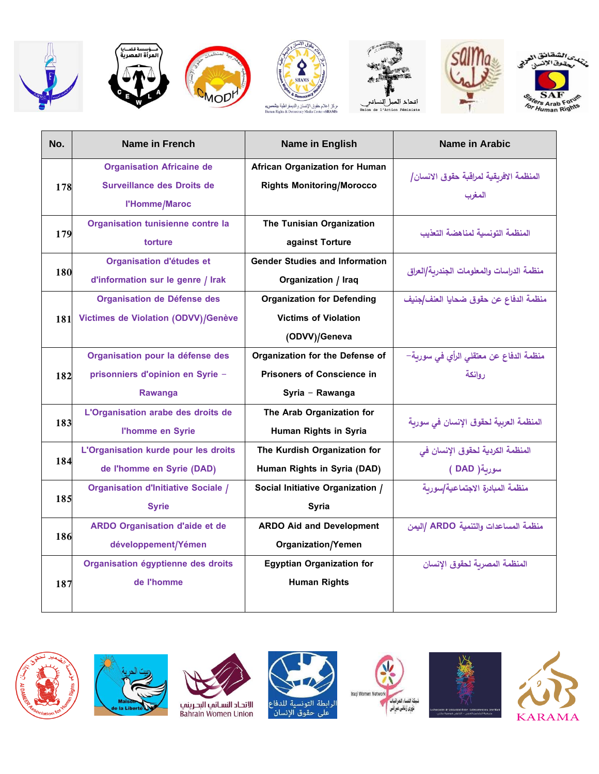





**WOD** 







| No.        | Name in French                             | Name in English                       | Name in Arabic                            |
|------------|--------------------------------------------|---------------------------------------|-------------------------------------------|
|            | <b>Organisation Africaine de</b>           | <b>African Organization for Human</b> | المنظمة الافربقية لمراقبة حقوق الانسان/   |
| 178        | Surveillance des Droits de                 | <b>Rights Monitoring/Morocco</b>      |                                           |
|            | l'Homme/Maroc                              |                                       | المغرب                                    |
|            | Organisation tunisienne contre la          | The Tunisian Organization             | المنظمة التونسية لمناهضة التعذيب          |
| 179        | torture                                    | against Torture                       |                                           |
|            | Organisation d'études et                   | <b>Gender Studies and Information</b> |                                           |
| 180        | d'information sur le genre / Irak          | Organization / Iraq                   | منظمة الدراسات والمعلومات الجندربة/العراق |
|            | Organisation de Défense des                | <b>Organization for Defending</b>     | منظمة الدفاع عن حقوق ضحايا العنف/جنيف     |
| <b>181</b> | Victimes de Violation (ODVV)/Genève        | <b>Victims of Violation</b>           |                                           |
|            |                                            | (ODVV)/Geneva                         |                                           |
|            | Organisation pour la défense des           | Organization for the Defense of       | منظمة الدفاع عن معتقلي الرأي في سورية–    |
| 182        | prisonniers d'opinion en Syrie -           | <b>Prisoners of Conscience in</b>     | روإنكة                                    |
|            | Rawanga                                    | Syria - Rawanga                       |                                           |
|            | L'Organisation arabe des droits de         | The Arab Organization for             |                                           |
| 183        | l'homme en Syrie                           | Human Rights in Syria                 | المنظمة العربية لحقوق الإنسان في سورية    |
|            | L'Organisation kurde pour les droits       | The Kurdish Organization for          | المنظمة الكردية لحقوق الإنسان في          |
| 184        | de l'homme en Syrie (DAD)                  | Human Rights in Syria (DAD)           | سورية( DAD )                              |
|            | <b>Organisation d'Initiative Sociale /</b> | Social Initiative Organization /      | منظمة المبادرة الاجتماعية/سوربة           |
| 185        | <b>Syrie</b>                               | Syria                                 |                                           |
|            | <b>ARDO Organisation d'aide et de</b>      | <b>ARDO Aid and Development</b>       | منظمة المساعدات والتنمية ARDO /اليمن      |
| 186        | développement/Yémen                        | <b>Organization/Yemen</b>             |                                           |
|            | Organisation égyptienne des droits         | <b>Egyptian Organization for</b>      | المنظمة المصربة لحقوق الإنسان             |
| 187        | de l'homme                                 | <b>Human Rights</b>                   |                                           |
|            |                                            |                                       |                                           |













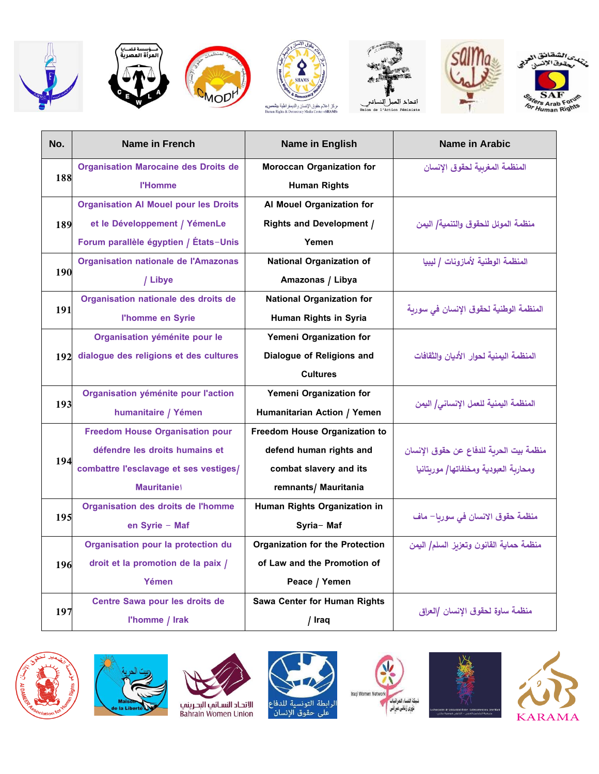



**WOD** 









| No. | Name in French                               | <b>Name in English</b>                 | Name in Arabic                          |
|-----|----------------------------------------------|----------------------------------------|-----------------------------------------|
|     | <b>Organisation Marocaine des Droits de</b>  | <b>Moroccan Organization for</b>       | المنظمة المغربية لحقوق الإنسان          |
| 188 | <b>l'Homme</b>                               | <b>Human Rights</b>                    |                                         |
|     | <b>Organisation AI Mouel pour les Droits</b> | Al Mouel Organization for              |                                         |
| 189 | et le Développement / YémenLe                | <b>Rights and Development /</b>        | منظمة الموئل للحقوق والتنمية/ اليمن     |
|     | Forum parallèle égyptien / États-Unis        | Yemen                                  |                                         |
|     | <b>Organisation nationale de l'Amazonas</b>  | <b>National Organization of</b>        | المنظمة الوطنية لأمازونات / ليبيا       |
| 190 | / Libye                                      | Amazonas / Libya                       |                                         |
|     | Organisation nationale des droits de         | <b>National Organization for</b>       |                                         |
| 191 | l'homme en Syrie                             | Human Rights in Syria                  | المنظمة الوطنية لحقوق الإنسان في سورية  |
|     | Organisation yéménite pour le                | Yemeni Organization for                |                                         |
|     | 192 dialogue des religions et des cultures   | Dialogue of Religions and              | المنظمة اليمنية لحوإر الأديان وإلثقافات |
|     |                                              | <b>Cultures</b>                        |                                         |
|     | Organisation yéménite pour l'action          | Yemeni Organization for                |                                         |
| 193 | humanitaire / Yémen                          | Humanitarian Action / Yemen            | المنظمة اليمنية للعمل الإنساني/ اليمن   |
|     | <b>Freedom House Organisation pour</b>       | Freedom House Organization to          |                                         |
|     | défendre les droits humains et               | defend human rights and                | منظمة بيت الحربة للدفاع عن حقوق الإنسان |
| 194 | combattre l'esclavage et ses vestiges/       | combat slavery and its                 | ومحاربة العبودية ومخلفاتها/ موربتانيا   |
|     | <b>Mauritaniel</b>                           | remnants/ Mauritania                   |                                         |
|     | Organisation des droits de l'homme           | Human Rights Organization in           | منظمة حقوق الانسان في سوريا– ماف        |
| 195 | en Syrie - Maf                               | Syria-Maf                              |                                         |
|     | Organisation pour la protection du           | <b>Organization for the Protection</b> | منظمة حماية القانون وتعزبز السلم/ اليمن |
| 196 | droit et la promotion de la paix /           | of Law and the Promotion of            |                                         |
|     | Yémen                                        | Peace / Yemen                          |                                         |
|     | Centre Sawa pour les droits de               | Sawa Center for Human Rights           |                                         |
| 197 | l'homme / Irak                               | / Iraq                                 | منظمة ساوة لحقوق الإنسان /العراق        |













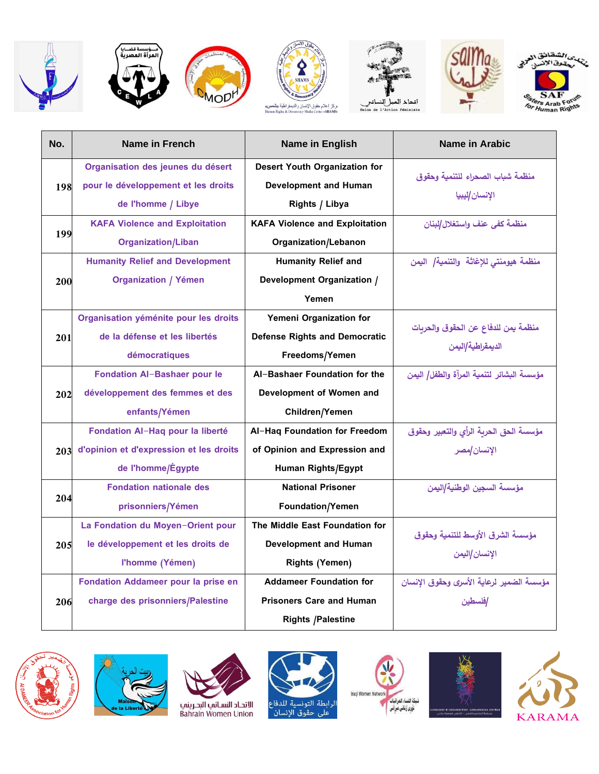













|     | No.                               | Name in French                          | <b>Name in English</b>                | Name in Arabic                            |
|-----|-----------------------------------|-----------------------------------------|---------------------------------------|-------------------------------------------|
|     |                                   | Organisation des jeunes du désert       | <b>Desert Youth Organization for</b>  | منظمة شباب الصحراء للتنمية وحقوق          |
|     | 198                               | pour le développement et les droits     | <b>Development and Human</b>          |                                           |
|     |                                   | de l'homme / Libye                      | Rights / Libya                        | الإنسان/ليبيا                             |
|     |                                   | <b>KAFA Violence and Exploitation</b>   | <b>KAFA Violence and Exploitation</b> | منظمة كفي عنف وإستغلال/لبنان              |
|     | 199                               | <b>Organization/Liban</b>               | Organization/Lebanon                  |                                           |
|     |                                   | <b>Humanity Relief and Development</b>  | <b>Humanity Relief and</b>            | منظمة هيومنتي للإغاثة والتنمية/ اليمن     |
|     | 200                               | <b>Organization / Yémen</b>             | Development Organization /            |                                           |
|     |                                   |                                         | Yemen                                 |                                           |
|     |                                   | Organisation yéménite pour les droits   | Yemeni Organization for               |                                           |
|     | 201                               | de la défense et les libertés           | <b>Defense Rights and Democratic</b>  | منظمة يمن للدفاع عن الحقوق والحربات       |
|     |                                   | démocratiques                           | Freedoms/Yemen                        | الديمقراطية/اليمن                         |
|     |                                   | <b>Fondation AI-Bashaer pour le</b>     | Al-Bashaer Foundation for the         | مؤسسة البشائر لتنمية المرآة والطفل/ اليمن |
|     | 202                               | développement des femmes et des         | Development of Women and              |                                           |
|     |                                   | enfants/Yémen                           | Children/Yemen                        |                                           |
|     |                                   | Fondation Al-Haq pour la liberté        | Al-Haq Foundation for Freedom         | مؤسسة الحق الحربة الرأى والتعبير وحقوق    |
|     | 203                               | d'opinion et d'expression et les droits | of Opinion and Expression and         | الإنسان/مصر                               |
|     |                                   | de l'homme/Égypte                       | Human Rights/Egypt                    |                                           |
|     |                                   | <b>Fondation nationale des</b>          | <b>National Prisoner</b>              | مؤسسة السجين الوطنية/اليمن                |
|     | 204                               | prisonniers/Yémen                       | Foundation/Yemen                      |                                           |
|     |                                   | La Fondation du Moyen-Orient pour       | The Middle East Foundation for        |                                           |
| 205 | le développement et les droits de | <b>Development and Human</b>            | مؤسسة الشرق الأوسط للتنمية وحقوق      |                                           |
|     |                                   | l'homme (Yémen)                         | <b>Rights (Yemen)</b>                 | الإنسان/اليمن                             |
|     |                                   | Fondation Addameer pour la prise en     | <b>Addameer Foundation for</b>        | مؤسسة الضمير لرعاية الأسرى وحقوق الانسان  |
|     | 206                               | charge des prisonniers/Palestine        | <b>Prisoners Care and Human</b>       | افلسطين                                   |
|     |                                   |                                         | <b>Rights /Palestine</b>              |                                           |







الرابطة التونسية للدفاع<br>على حقوق الإنسان





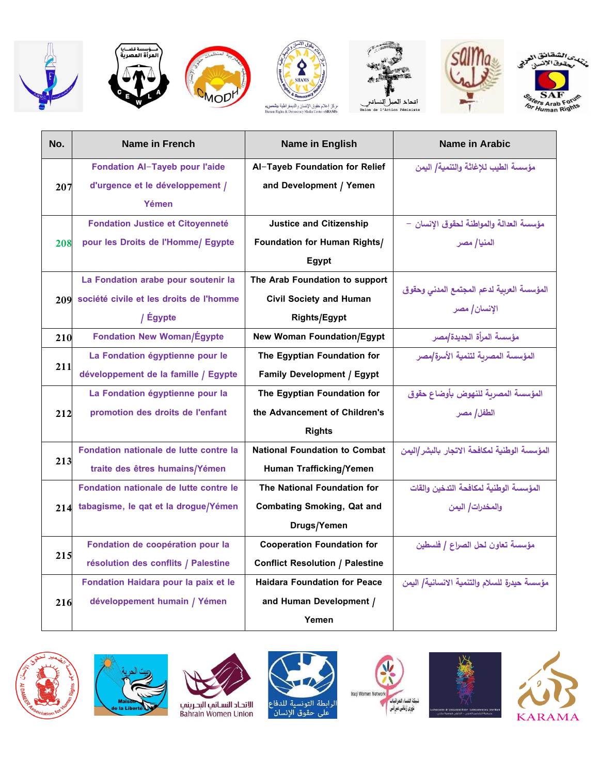















| No.                                                  | Name in French                              | <b>Name in English</b>                 | Name in Arabic                                |
|------------------------------------------------------|---------------------------------------------|----------------------------------------|-----------------------------------------------|
|                                                      | <b>Fondation Al-Tayeb pour l'aide</b>       | Al-Tayeb Foundation for Relief         | مؤسسة الطيب للإغاثة والتنمية/ اليمن           |
|                                                      | d'urgence et le développement /             | and Development / Yemen                |                                               |
|                                                      | Yémen                                       |                                        |                                               |
|                                                      | <b>Fondation Justice et Citoyenneté</b>     | <b>Justice and Citizenship</b>         | مؤسسة العدالة والمواطنة لحقوق الإنسان –       |
|                                                      | pour les Droits de l'Homme/ Egypte          | <b>Foundation for Human Rights/</b>    | المنيا/ مصر                                   |
|                                                      |                                             | Egypt                                  |                                               |
|                                                      | La Fondation arabe pour soutenir la         | The Arab Foundation to support         |                                               |
|                                                      | 209 société civile et les droits de l'homme | <b>Civil Society and Human</b>         | المؤسسة العربية لدعم المجتمع المدني وحقوق     |
|                                                      | / Égypte                                    | Rights/Egypt                           | الإنسان/ مصر                                  |
|                                                      | <b>Fondation New Woman/Égypte</b>           | <b>New Woman Foundation/Egypt</b>      | مؤسسة المرأة الجديدة/مصر                      |
|                                                      | La Fondation égyptienne pour le             | The Egyptian Foundation for            | المؤسسة المصربة لتنمية الأسرة/مصر             |
|                                                      | développement de la famille / Egypte        | <b>Family Development / Egypt</b>      |                                               |
|                                                      | La Fondation égyptienne pour la             | The Egyptian Foundation for            | المؤسسة المصربة للنهوض بأوضاع حقوق            |
|                                                      | promotion des droits de l'enfant            | the Advancement of Children's          | الطفل  مصر                                    |
| 207<br>208<br>210<br>211<br>212<br>213<br>215<br>216 |                                             | <b>Rights</b>                          |                                               |
|                                                      | Fondation nationale de lutte contre la      | <b>National Foundation to Combat</b>   | المؤسسة الوطنية لمكافحة الاتجار بالبشر /اليمن |
|                                                      | traite des êtres humains/Yémen              | Human Trafficking/Yemen                |                                               |
|                                                      | Fondation nationale de lutte contre le      | The National Foundation for            | المؤسسة الوطنية لمكافحة التدخين والقات        |
|                                                      | 214 tabagisme, le qat et la drogue/Yémen    | <b>Combating Smoking, Qat and</b>      | والمخدرات/ اليمن                              |
|                                                      |                                             | Drugs/Yemen                            |                                               |
|                                                      | Fondation de coopération pour la            | <b>Cooperation Foundation for</b>      | مؤسسة تعاون لحل الصراع / فلسطين               |
|                                                      | résolution des conflits / Palestine         | <b>Conflict Resolution / Palestine</b> |                                               |
|                                                      | Fondation Haidara pour la paix et le        | <b>Haidara Foundation for Peace</b>    | مؤسسة حيدرة للسلام والتنمية الانسانية/ اليمن  |
|                                                      | développement humain / Yémen                | and Human Development /                |                                               |
|                                                      |                                             | Yemen                                  |                                               |













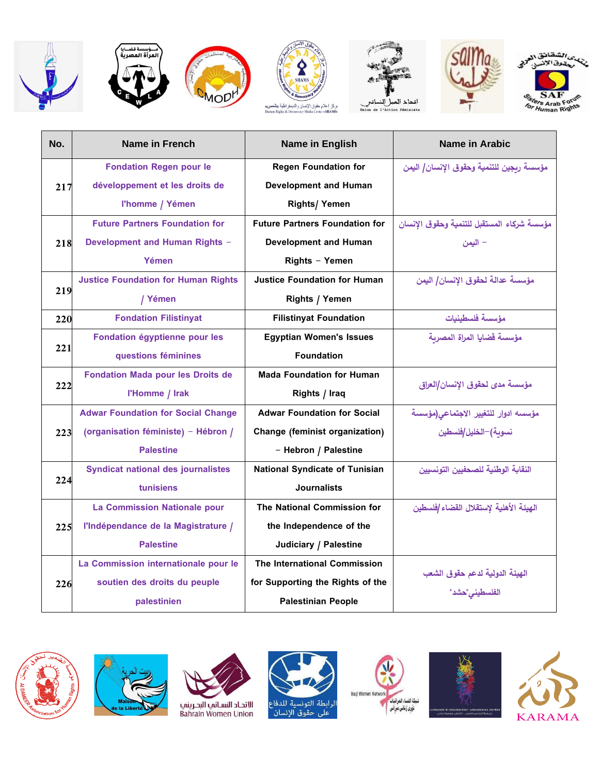













| No.                      | Name in French                                                                                                                                                                                                                                                                                                                                                                                                                                                                                                                                                                                                                                                                                                                                                                                                                                                                                                                                                                                                                                                                                                                                                                                                                                                                                                                                                                                             | <b>Name in English</b>       | Name in Arabic                             |
|--------------------------|------------------------------------------------------------------------------------------------------------------------------------------------------------------------------------------------------------------------------------------------------------------------------------------------------------------------------------------------------------------------------------------------------------------------------------------------------------------------------------------------------------------------------------------------------------------------------------------------------------------------------------------------------------------------------------------------------------------------------------------------------------------------------------------------------------------------------------------------------------------------------------------------------------------------------------------------------------------------------------------------------------------------------------------------------------------------------------------------------------------------------------------------------------------------------------------------------------------------------------------------------------------------------------------------------------------------------------------------------------------------------------------------------------|------------------------------|--------------------------------------------|
|                          | <b>Fondation Regen pour le</b>                                                                                                                                                                                                                                                                                                                                                                                                                                                                                                                                                                                                                                                                                                                                                                                                                                                                                                                                                                                                                                                                                                                                                                                                                                                                                                                                                                             | <b>Regen Foundation for</b>  | مؤسسة ربجين للتنمية وحقوق الإنسان/ اليمن   |
| 217<br>221<br>222<br>224 | développement et les droits de                                                                                                                                                                                                                                                                                                                                                                                                                                                                                                                                                                                                                                                                                                                                                                                                                                                                                                                                                                                                                                                                                                                                                                                                                                                                                                                                                                             | <b>Development and Human</b> |                                            |
|                          | l'homme / Yémen<br><b>Rights/ Yemen</b><br><b>Future Partners Foundation for</b><br><b>Future Partners Foundation for</b><br><b>Development and Human Rights -</b><br><b>Development and Human</b><br>218<br>Yémen<br>Rights - Yemen<br><b>Justice Foundation for Human Rights</b><br><b>Justice Foundation for Human</b><br>219<br>Rights / Yemen<br>/ Yémen<br><b>Fondation Filistinyat</b><br><b>Filistinyat Foundation</b><br>Fondation égyptienne pour les<br><b>Egyptian Women's Issues</b><br><b>Foundation</b><br>questions féminines<br><b>Fondation Mada pour les Droits de</b><br><b>Mada Foundation for Human</b><br>l'Homme / Irak<br>Rights / Iraq<br><b>Adwar Foundation for Social</b><br><b>Adwar Foundation for Social Change</b><br>(organisation féministe) - Hébron /<br>Change (feminist organization)<br>223<br><b>Palestine</b><br>- Hebron / Palestine<br><b>Syndicat national des journalistes</b><br><b>National Syndicate of Tunisian</b><br><b>Journalists</b><br>tunisiens<br>The National Commission for<br><b>La Commission Nationale pour</b><br>l'Indépendance de la Magistrature /<br>the Independence of the<br>225<br><b>Palestine</b><br>Judiciary / Palestine<br><b>The International Commission</b><br>La Commission internationale pour le<br>soutien des droits du peuple<br>for Supporting the Rights of the<br>226<br>palestinien<br><b>Palestinian People</b> |                              |                                            |
|                          |                                                                                                                                                                                                                                                                                                                                                                                                                                                                                                                                                                                                                                                                                                                                                                                                                                                                                                                                                                                                                                                                                                                                                                                                                                                                                                                                                                                                            |                              | مؤسسة شركاء المستقبل للتنمية وحقوق الإنسان |
|                          |                                                                                                                                                                                                                                                                                                                                                                                                                                                                                                                                                                                                                                                                                                                                                                                                                                                                                                                                                                                                                                                                                                                                                                                                                                                                                                                                                                                                            |                              | – اليمن                                    |
|                          |                                                                                                                                                                                                                                                                                                                                                                                                                                                                                                                                                                                                                                                                                                                                                                                                                                                                                                                                                                                                                                                                                                                                                                                                                                                                                                                                                                                                            |                              |                                            |
|                          |                                                                                                                                                                                                                                                                                                                                                                                                                                                                                                                                                                                                                                                                                                                                                                                                                                                                                                                                                                                                                                                                                                                                                                                                                                                                                                                                                                                                            |                              | مؤسسة عدالة لحقوق الإنسان/ اليمن           |
|                          |                                                                                                                                                                                                                                                                                                                                                                                                                                                                                                                                                                                                                                                                                                                                                                                                                                                                                                                                                                                                                                                                                                                                                                                                                                                                                                                                                                                                            |                              |                                            |
| 220                      |                                                                                                                                                                                                                                                                                                                                                                                                                                                                                                                                                                                                                                                                                                                                                                                                                                                                                                                                                                                                                                                                                                                                                                                                                                                                                                                                                                                                            |                              | مؤسسة فلسطينيات                            |
|                          |                                                                                                                                                                                                                                                                                                                                                                                                                                                                                                                                                                                                                                                                                                                                                                                                                                                                                                                                                                                                                                                                                                                                                                                                                                                                                                                                                                                                            |                              | مؤسسة قضايا المراة المصربة                 |
|                          |                                                                                                                                                                                                                                                                                                                                                                                                                                                                                                                                                                                                                                                                                                                                                                                                                                                                                                                                                                                                                                                                                                                                                                                                                                                                                                                                                                                                            |                              |                                            |
|                          |                                                                                                                                                                                                                                                                                                                                                                                                                                                                                                                                                                                                                                                                                                                                                                                                                                                                                                                                                                                                                                                                                                                                                                                                                                                                                                                                                                                                            |                              | مؤسسة مدى لحقوق الإنسان/العراق             |
|                          |                                                                                                                                                                                                                                                                                                                                                                                                                                                                                                                                                                                                                                                                                                                                                                                                                                                                                                                                                                                                                                                                                                                                                                                                                                                                                                                                                                                                            |                              |                                            |
|                          |                                                                                                                                                                                                                                                                                                                                                                                                                                                                                                                                                                                                                                                                                                                                                                                                                                                                                                                                                                                                                                                                                                                                                                                                                                                                                                                                                                                                            |                              | مؤسسه ادوار للتغيير الاجتماعى(مؤسسة        |
|                          |                                                                                                                                                                                                                                                                                                                                                                                                                                                                                                                                                                                                                                                                                                                                                                                                                                                                                                                                                                                                                                                                                                                                                                                                                                                                                                                                                                                                            |                              | نسوبة)–الخليل/فلسطين                       |
|                          |                                                                                                                                                                                                                                                                                                                                                                                                                                                                                                                                                                                                                                                                                                                                                                                                                                                                                                                                                                                                                                                                                                                                                                                                                                                                                                                                                                                                            |                              |                                            |
|                          |                                                                                                                                                                                                                                                                                                                                                                                                                                                                                                                                                                                                                                                                                                                                                                                                                                                                                                                                                                                                                                                                                                                                                                                                                                                                                                                                                                                                            |                              | النقابة الوطنية للصحفيين التونسيين         |
|                          |                                                                                                                                                                                                                                                                                                                                                                                                                                                                                                                                                                                                                                                                                                                                                                                                                                                                                                                                                                                                                                                                                                                                                                                                                                                                                                                                                                                                            |                              |                                            |
|                          |                                                                                                                                                                                                                                                                                                                                                                                                                                                                                                                                                                                                                                                                                                                                                                                                                                                                                                                                                                                                                                                                                                                                                                                                                                                                                                                                                                                                            |                              | الهيئة الأهلية لإستقلال القضاء /فلسطين     |
|                          |                                                                                                                                                                                                                                                                                                                                                                                                                                                                                                                                                                                                                                                                                                                                                                                                                                                                                                                                                                                                                                                                                                                                                                                                                                                                                                                                                                                                            |                              |                                            |
|                          |                                                                                                                                                                                                                                                                                                                                                                                                                                                                                                                                                                                                                                                                                                                                                                                                                                                                                                                                                                                                                                                                                                                                                                                                                                                                                                                                                                                                            |                              |                                            |
|                          |                                                                                                                                                                                                                                                                                                                                                                                                                                                                                                                                                                                                                                                                                                                                                                                                                                                                                                                                                                                                                                                                                                                                                                                                                                                                                                                                                                                                            |                              |                                            |
|                          |                                                                                                                                                                                                                                                                                                                                                                                                                                                                                                                                                                                                                                                                                                                                                                                                                                                                                                                                                                                                                                                                                                                                                                                                                                                                                                                                                                                                            |                              | الهيئة الدولية لدعم حقوق الشعب             |
|                          |                                                                                                                                                                                                                                                                                                                                                                                                                                                                                                                                                                                                                                                                                                                                                                                                                                                                                                                                                                                                                                                                                                                                                                                                                                                                                                                                                                                                            |                              | الفلسطيني"حشد"                             |